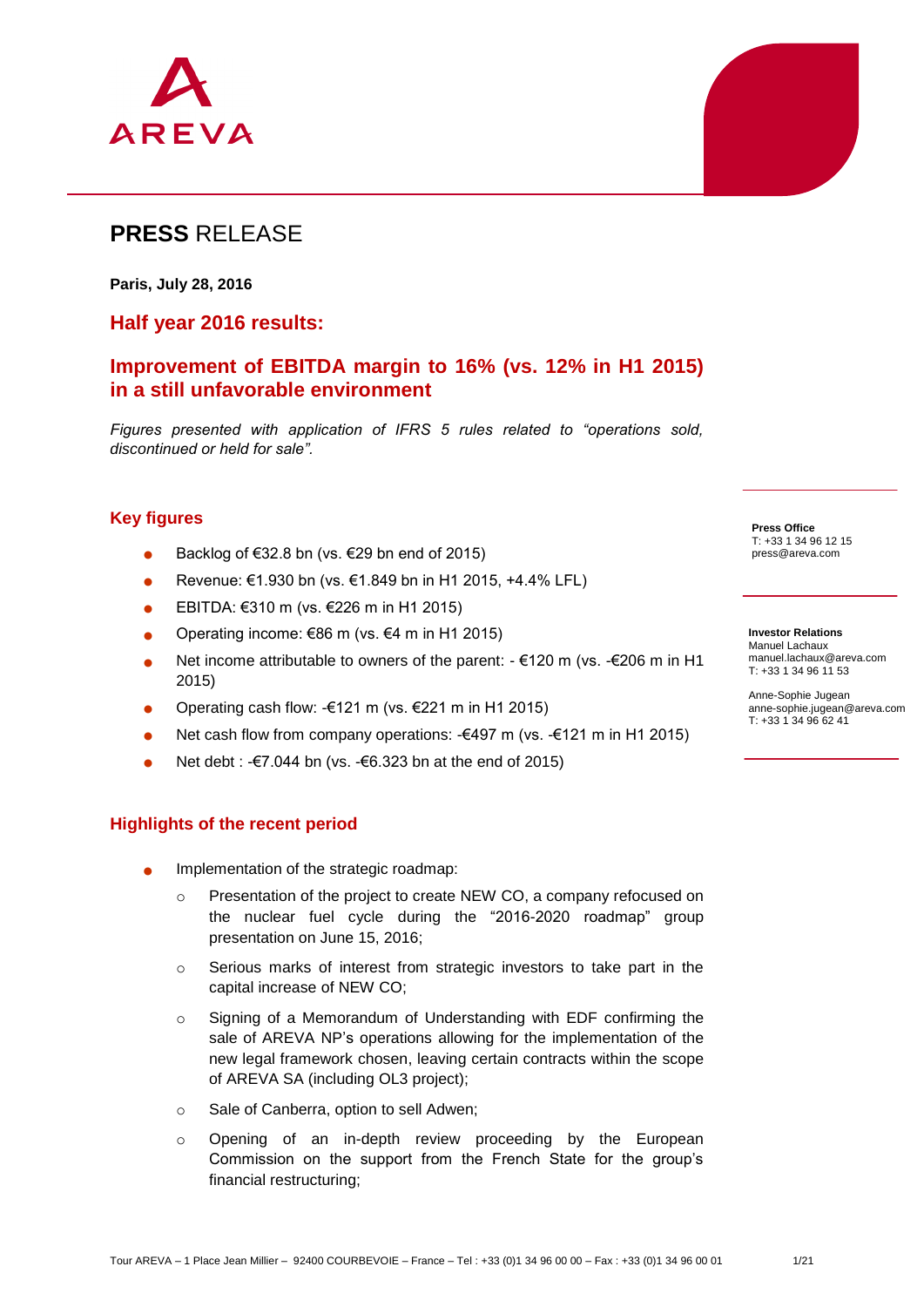

# **PRESS** RELEASE

**Paris, July 28, 2016**

#### **Half year 2016 results:**

## **Improvement of EBITDA margin to 16% (vs. 12% in H1 2015) in a still unfavorable environment**

*Figures presented with application of IFRS 5 rules related to "operations sold, discontinued or held for sale".*

#### **Key figures**

- Backlog of €32.8 bn (vs. €29 bn end of 2015)
- Revenue: €1.930 bn (vs. €1.849 bn in H1 2015, +4.4% LFL)
- EBITDA: €310 m (vs. €226 m in H1 2015)
- Operating income: €86 m (vs. €4 m in H1 2015)
- Net income attributable to owners of the parent: €120 m (vs. -€206 m in H1 2015)
- Operating cash flow:  $-€121$  m (vs.  $€221$  m in H1 2015)
- Net cash flow from company operations: -€497 m (vs. -€121 m in H1 2015)
- Net debt : -€7.044 bn (vs. -€6.323 bn at the end of 2015)

#### **Highlights of the recent period**

- Implementation of the strategic roadmap:
	- Presentation of the project to create NEW CO, a company refocused on the nuclear fuel cycle during the "2016-2020 roadmap" group presentation on June 15, 2016;
	- o Serious marks of interest from strategic investors to take part in the capital increase of NEW CO;
	- o Signing of a Memorandum of Understanding with EDF confirming the sale of AREVA NP's operations allowing for the implementation of the new legal framework chosen, leaving certain contracts within the scope of AREVA SA (including OL3 project);
	- o Sale of Canberra, option to sell Adwen;
	- o Opening of an in-depth review proceeding by the European Commission on the support from the French State for the group's financial restructuring;

**Press Office** T: +33 1 34 96 12 15 press@areva.com

**Investor Relations** Manuel Lachaux [manuel.lachaux@areva.com](mailto:philippine.durepaire@areva.com) T: +33 1 34 96 11 53

Anne-Sophie Jugean anne-sophie.jugean@areva.com T: +33 1 34 96 62 41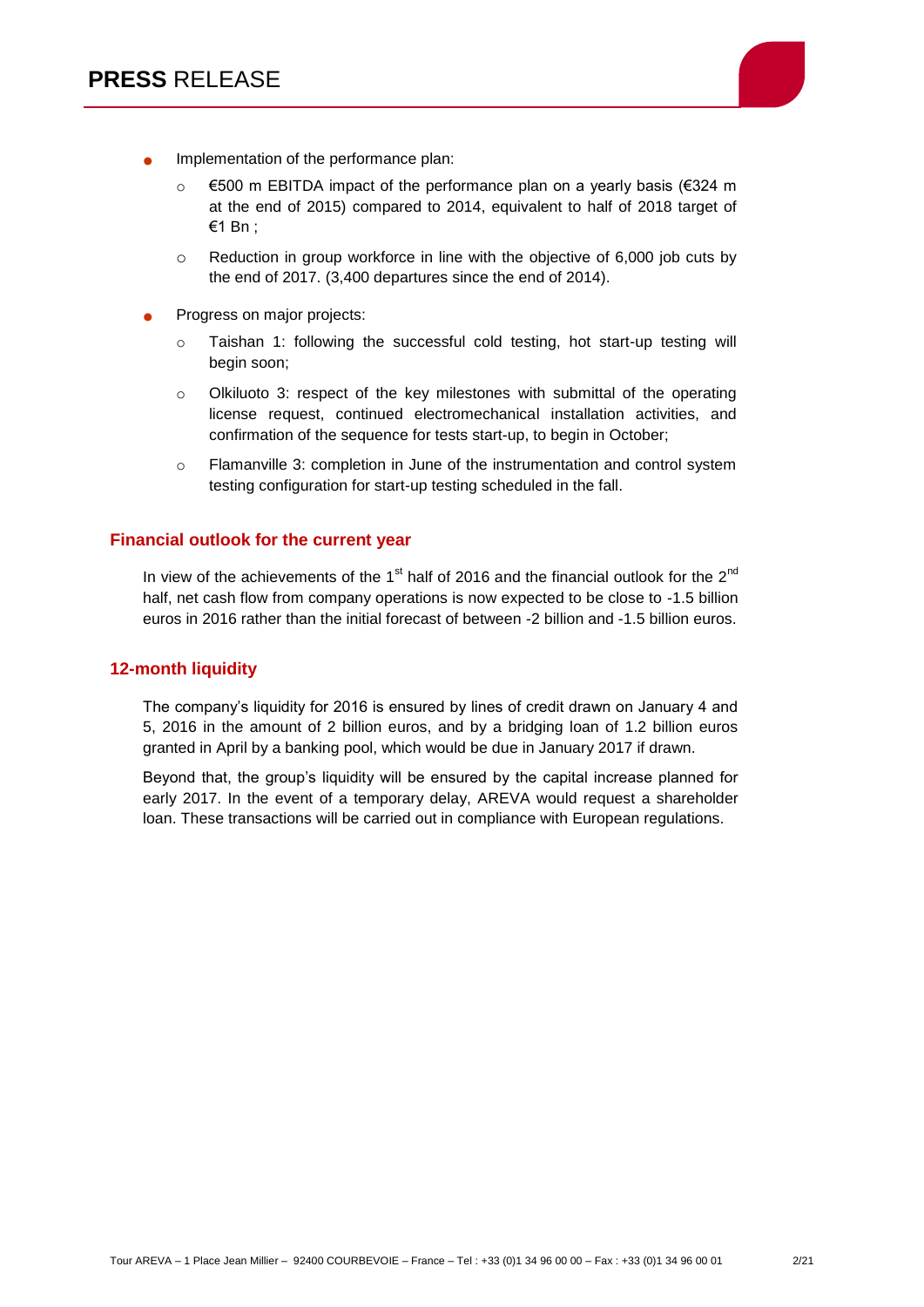

- Implementation of the performance plan:
	- €500 m EBITDA impact of the performance plan on a yearly basis (€324 m at the end of 2015) compared to 2014, equivalent to half of 2018 target of €1 Bn ;
	- $\circ$  Reduction in group workforce in line with the objective of 6,000 job cuts by the end of 2017. (3,400 departures since the end of 2014).
- Progress on major projects:
	- o Taishan 1: following the successful cold testing, hot start-up testing will begin soon;
	- o Olkiluoto 3: respect of the key milestones with submittal of the operating license request, continued electromechanical installation activities, and confirmation of the sequence for tests start-up, to begin in October;
	- o Flamanville 3: completion in June of the instrumentation and control system testing configuration for start-up testing scheduled in the fall.

#### **Financial outlook for the current year**

In view of the achievements of the  $1<sup>st</sup>$  half of 2016 and the financial outlook for the  $2<sup>nd</sup>$ half, net cash flow from company operations is now expected to be close to -1.5 billion euros in 2016 rather than the initial forecast of between -2 billion and -1.5 billion euros.

#### **12-month liquidity**

The company's liquidity for 2016 is ensured by lines of credit drawn on January 4 and 5, 2016 in the amount of 2 billion euros, and by a bridging loan of 1.2 billion euros granted in April by a banking pool, which would be due in January 2017 if drawn.

Beyond that, the group's liquidity will be ensured by the capital increase planned for early 2017. In the event of a temporary delay, AREVA would request a shareholder loan. These transactions will be carried out in compliance with European regulations.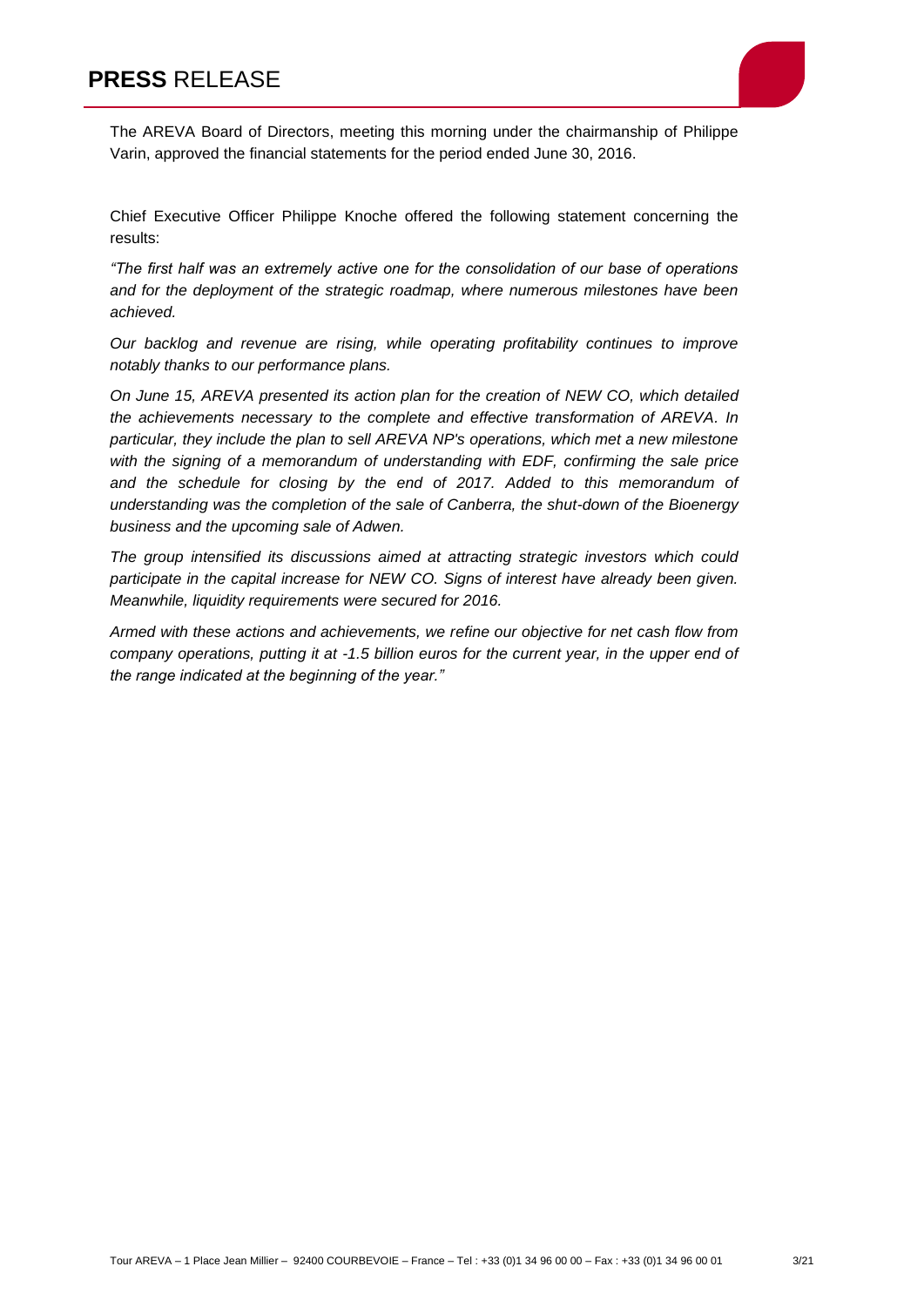

The AREVA Board of Directors, meeting this morning under the chairmanship of Philippe Varin, approved the financial statements for the period ended June 30, 2016.

Chief Executive Officer Philippe Knoche offered the following statement concerning the results:

*"The first half was an extremely active one for the consolidation of our base of operations and for the deployment of the strategic roadmap, where numerous milestones have been achieved.*

*Our backlog and revenue are rising, while operating profitability continues to improve notably thanks to our performance plans.* 

*On June 15, AREVA presented its action plan for the creation of NEW CO, which detailed the achievements necessary to the complete and effective transformation of AREVA. In particular, they include the plan to sell AREVA NP's operations, which met a new milestone with the signing of a memorandum of understanding with EDF, confirming the sale price*  and the schedule for closing by the end of 2017. Added to this memorandum of *understanding was the completion of the sale of Canberra, the shut-down of the Bioenergy business and the upcoming sale of Adwen.* 

*The group intensified its discussions aimed at attracting strategic investors which could participate in the capital increase for NEW CO. Signs of interest have already been given. Meanwhile, liquidity requirements were secured for 2016.*

*Armed with these actions and achievements, we refine our objective for net cash flow from company operations, putting it at -1.5 billion euros for the current year, in the upper end of the range indicated at the beginning of the year."*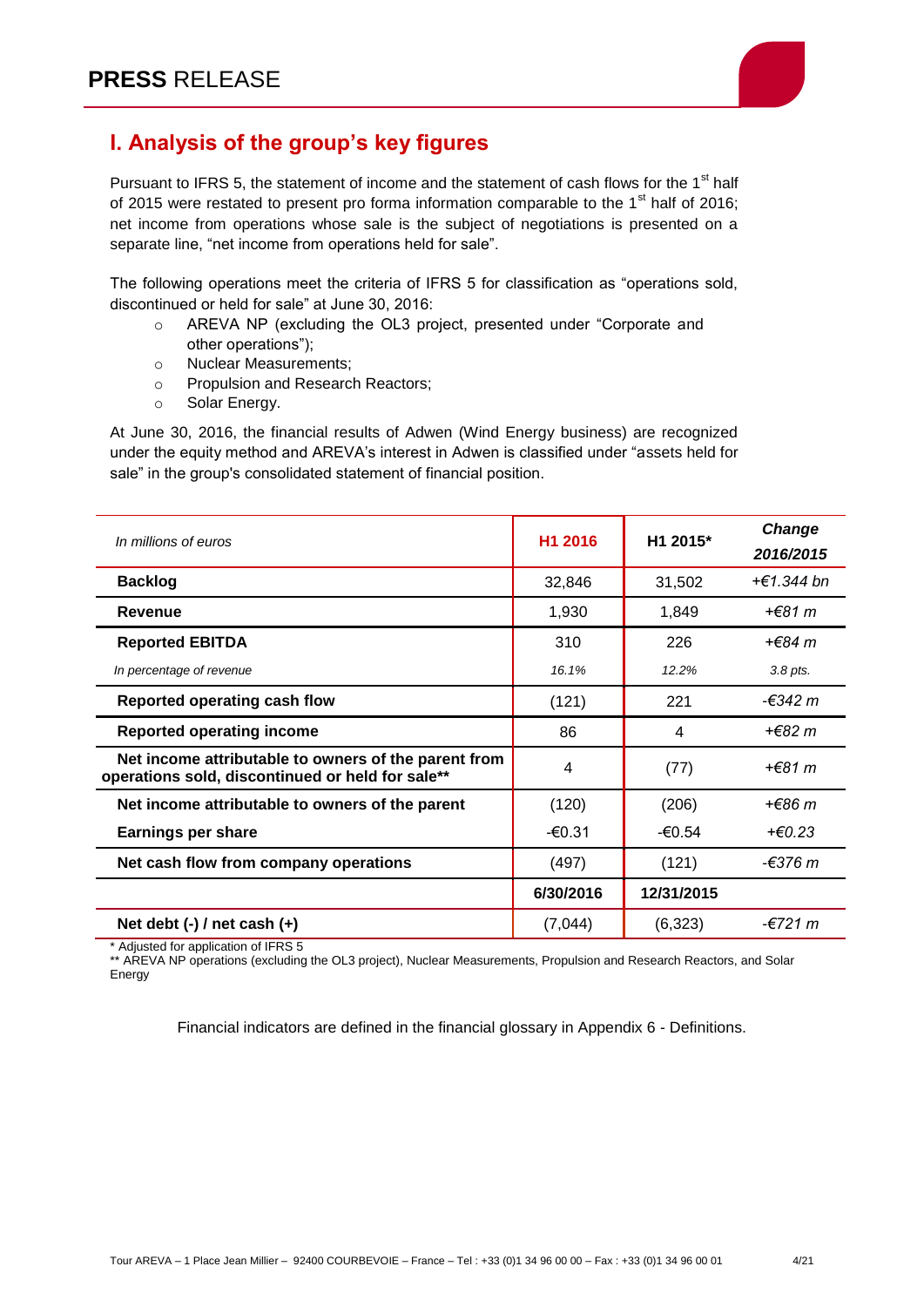

# **I. Analysis of the group's key figures**

Pursuant to IFRS 5, the statement of income and the statement of cash flows for the 1<sup>st</sup> half of 2015 were restated to present pro forma information comparable to the  $1<sup>st</sup>$  half of 2016; net income from operations whose sale is the subject of negotiations is presented on a separate line, "net income from operations held for sale".

The following operations meet the criteria of IFRS 5 for classification as "operations sold, discontinued or held for sale" at June 30, 2016:

- o AREVA NP (excluding the OL3 project, presented under "Corporate and other operations");
- o Nuclear Measurements;
- o Propulsion and Research Reactors;
- o Solar Energy.

At June 30, 2016, the financial results of Adwen (Wind Energy business) are recognized under the equity method and AREVA's interest in Adwen is classified under "assets held for sale" in the group's consolidated statement of financial position.

| In millions of euros                                                                                     | H1 2016   | H1 2015*   | Change     |
|----------------------------------------------------------------------------------------------------------|-----------|------------|------------|
|                                                                                                          |           |            | 2016/2015  |
| <b>Backlog</b>                                                                                           | 32,846    | 31,502     | +€1.344 bn |
| Revenue                                                                                                  | 1,930     | 1,849      | +€81 m     |
| <b>Reported EBITDA</b>                                                                                   | 310       | 226        | +€84 m     |
| In percentage of revenue                                                                                 | 16.1%     | 12.2%      | 3.8 pts.   |
| Reported operating cash flow                                                                             | (121)     | 221        | -€342 m    |
| <b>Reported operating income</b>                                                                         | 86        | 4          | +€82 m     |
| Net income attributable to owners of the parent from<br>operations sold, discontinued or held for sale** | 4         | (77)       | +€81 m     |
| Net income attributable to owners of the parent                                                          | (120)     | (206)      | +€86 m     |
| <b>Earnings per share</b>                                                                                | -€0.31    | -€0.54     | $+E0.23$   |
| Net cash flow from company operations                                                                    | (497)     | (121)      | -€376 m    |
|                                                                                                          | 6/30/2016 | 12/31/2015 |            |
| Net debt $(-)$ / net cash $(+)$                                                                          | (7,044)   | (6, 323)   | -€721 m    |

Adjusted for application of IFRS 5

\*\* AREVA NP operations (excluding the OL3 project), Nuclear Measurements, Propulsion and Research Reactors, and Solar Energy

Financial indicators are defined in the financial glossary in Appendix 6 - Definitions.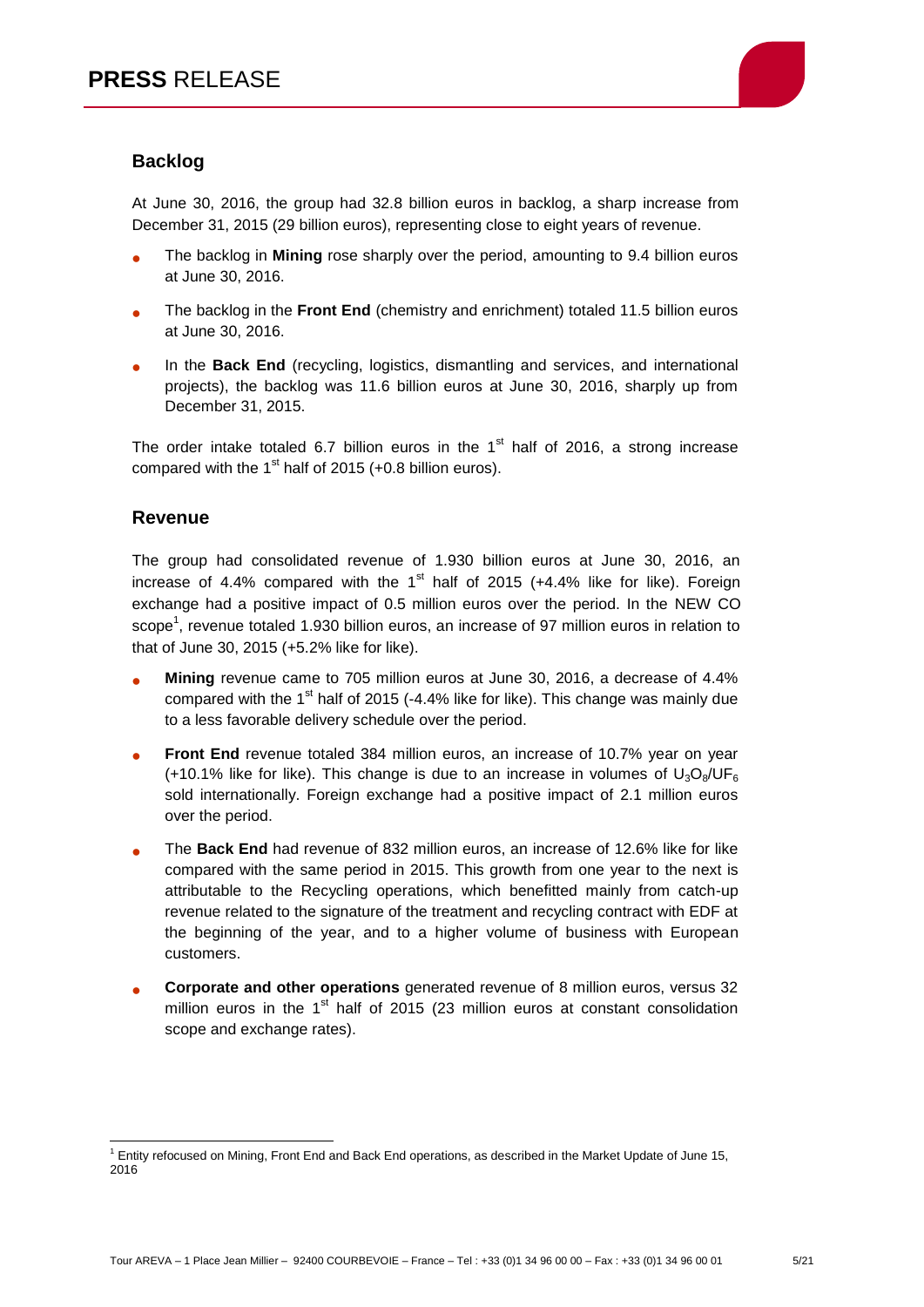

## **Backlog**

At June 30, 2016, the group had 32.8 billion euros in backlog, a sharp increase from December 31, 2015 (29 billion euros), representing close to eight years of revenue.

- The backlog in **Mining** rose sharply over the period, amounting to 9.4 billion euros at June 30, 2016.
- The backlog in the **Front End** (chemistry and enrichment) totaled 11.5 billion euros at June 30, 2016.
- In the **Back End** (recycling, logistics, dismantling and services, and international projects), the backlog was 11.6 billion euros at June 30, 2016, sharply up from December 31, 2015.

The order intake totaled 6.7 billion euros in the  $1<sup>st</sup>$  half of 2016, a strong increase compared with the  $1<sup>st</sup>$  half of 2015 (+0.8 billion euros).

#### **Revenue**

The group had consolidated revenue of 1.930 billion euros at June 30, 2016, an increase of 4.4% compared with the  $1<sup>st</sup>$  half of 2015 (+4.4% like for like). Foreign exchange had a positive impact of 0.5 million euros over the period. In the NEW CO scope<sup>1</sup>, revenue totaled 1.930 billion euros, an increase of 97 million euros in relation to that of June 30, 2015 (+5.2% like for like).

- **Mining** revenue came to 705 million euros at June 30, 2016, a decrease of 4.4% compared with the  $1<sup>st</sup>$  half of 2015 (-4.4% like for like). This change was mainly due to a less favorable delivery schedule over the period.
- **Front End** revenue totaled 384 million euros, an increase of 10.7% year on year (+10.1% like for like). This change is due to an increase in volumes of  $U_3O_8/UF_6$ sold internationally. Foreign exchange had a positive impact of 2.1 million euros over the period.
- The **Back End** had revenue of 832 million euros, an increase of 12.6% like for like compared with the same period in 2015. This growth from one year to the next is attributable to the Recycling operations, which benefitted mainly from catch-up revenue related to the signature of the treatment and recycling contract with EDF at the beginning of the year, and to a higher volume of business with European customers.
- **Corporate and other operations** generated revenue of 8 million euros, versus 32 million euros in the  $1<sup>st</sup>$  half of 2015 (23 million euros at constant consolidation scope and exchange rates).

 $\overline{a}$  $1$  Entity refocused on Mining, Front End and Back End operations, as described in the Market Update of June 15, 2016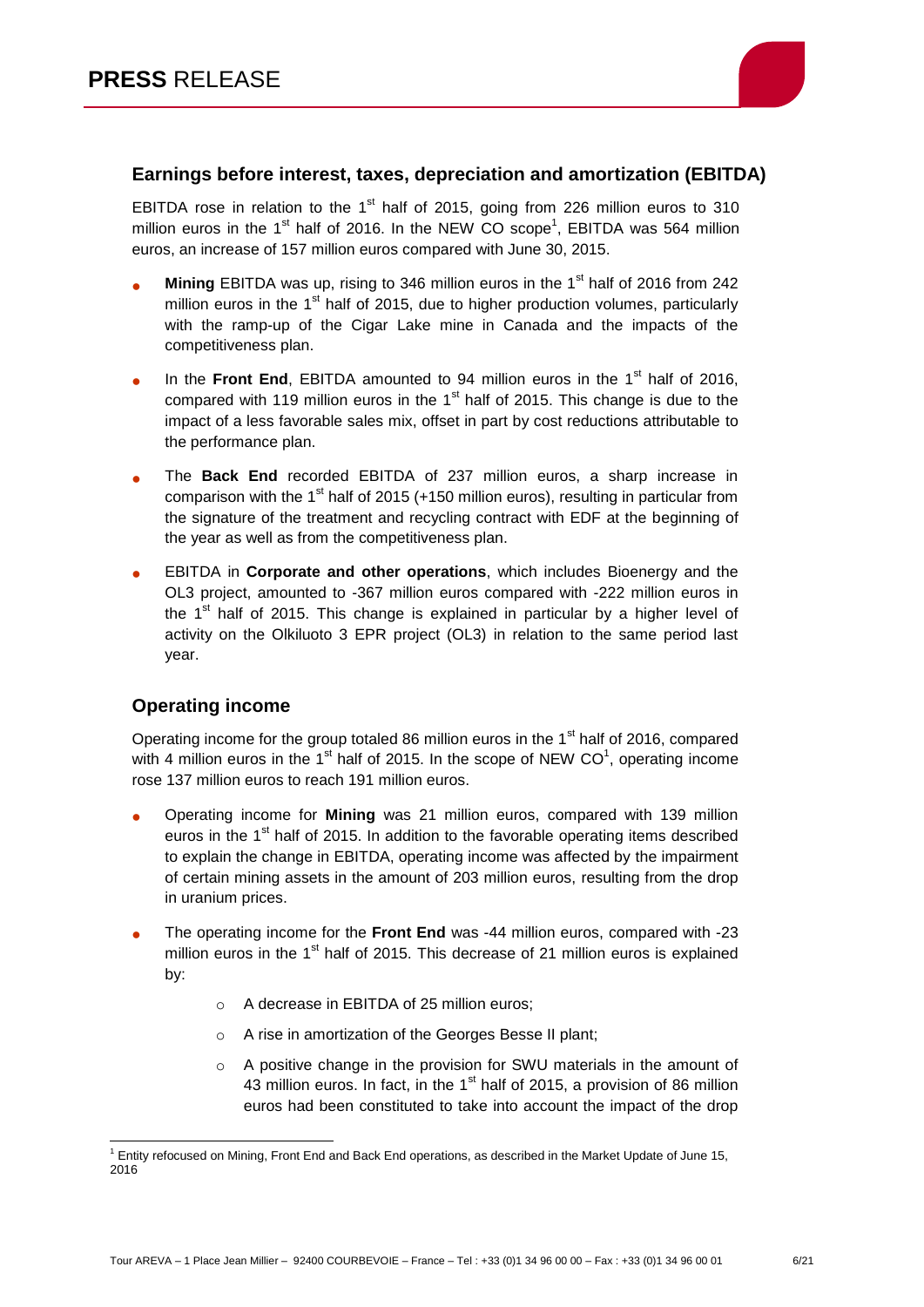

#### **Earnings before interest, taxes, depreciation and amortization (EBITDA)**

EBITDA rose in relation to the  $1<sup>st</sup>$  half of 2015, going from 226 million euros to 310 million euros in the 1<sup>st</sup> half of 2016. In the NEW CO scope<sup>1</sup>, EBITDA was 564 million euros, an increase of 157 million euros compared with June 30, 2015.

- **Mining** EBITDA was up, rising to 346 million euros in the 1<sup>st</sup> half of 2016 from 242 million euros in the  $1<sup>st</sup>$  half of 2015, due to higher production volumes, particularly with the ramp-up of the Cigar Lake mine in Canada and the impacts of the competitiveness plan.
- In the **Front End**, EBITDA amounted to 94 million euros in the  $1<sup>st</sup>$  half of 2016, compared with 119 million euros in the  $1<sup>st</sup>$  half of 2015. This change is due to the impact of a less favorable sales mix, offset in part by cost reductions attributable to the performance plan.
- The **Back End** recorded EBITDA of 237 million euros, a sharp increase in comparison with the 1<sup>st</sup> half of 2015 (+150 million euros), resulting in particular from the signature of the treatment and recycling contract with EDF at the beginning of the year as well as from the competitiveness plan.
- EBITDA in **Corporate and other operations**, which includes Bioenergy and the OL3 project, amounted to -367 million euros compared with -222 million euros in the  $1<sup>st</sup>$  half of 2015. This change is explained in particular by a higher level of activity on the Olkiluoto 3 EPR project (OL3) in relation to the same period last year.

## **Operating income**

Operating income for the group totaled 86 million euros in the 1<sup>st</sup> half of 2016, compared with 4 million euros in the 1<sup>st</sup> half of 2015. In the scope of NEW CO<sup>1</sup>, operating income rose 137 million euros to reach 191 million euros.

- Operating income for **Mining** was 21 million euros, compared with 139 million euros in the 1<sup>st</sup> half of 2015. In addition to the favorable operating items described to explain the change in EBITDA, operating income was affected by the impairment of certain mining assets in the amount of 203 million euros, resulting from the drop in uranium prices.
- The operating income for the **Front End** was -44 million euros, compared with -23 million euros in the  $1<sup>st</sup>$  half of 2015. This decrease of 21 million euros is explained by:
	- o A decrease in EBITDA of 25 million euros;
	- o A rise in amortization of the Georges Besse II plant;
	- o A positive change in the provision for SWU materials in the amount of 43 million euros. In fact, in the  $1<sup>st</sup>$  half of 2015, a provision of 86 million euros had been constituted to take into account the impact of the drop

 $\overline{a}$  $1$  Entity refocused on Mining, Front End and Back End operations, as described in the Market Update of June 15, 2016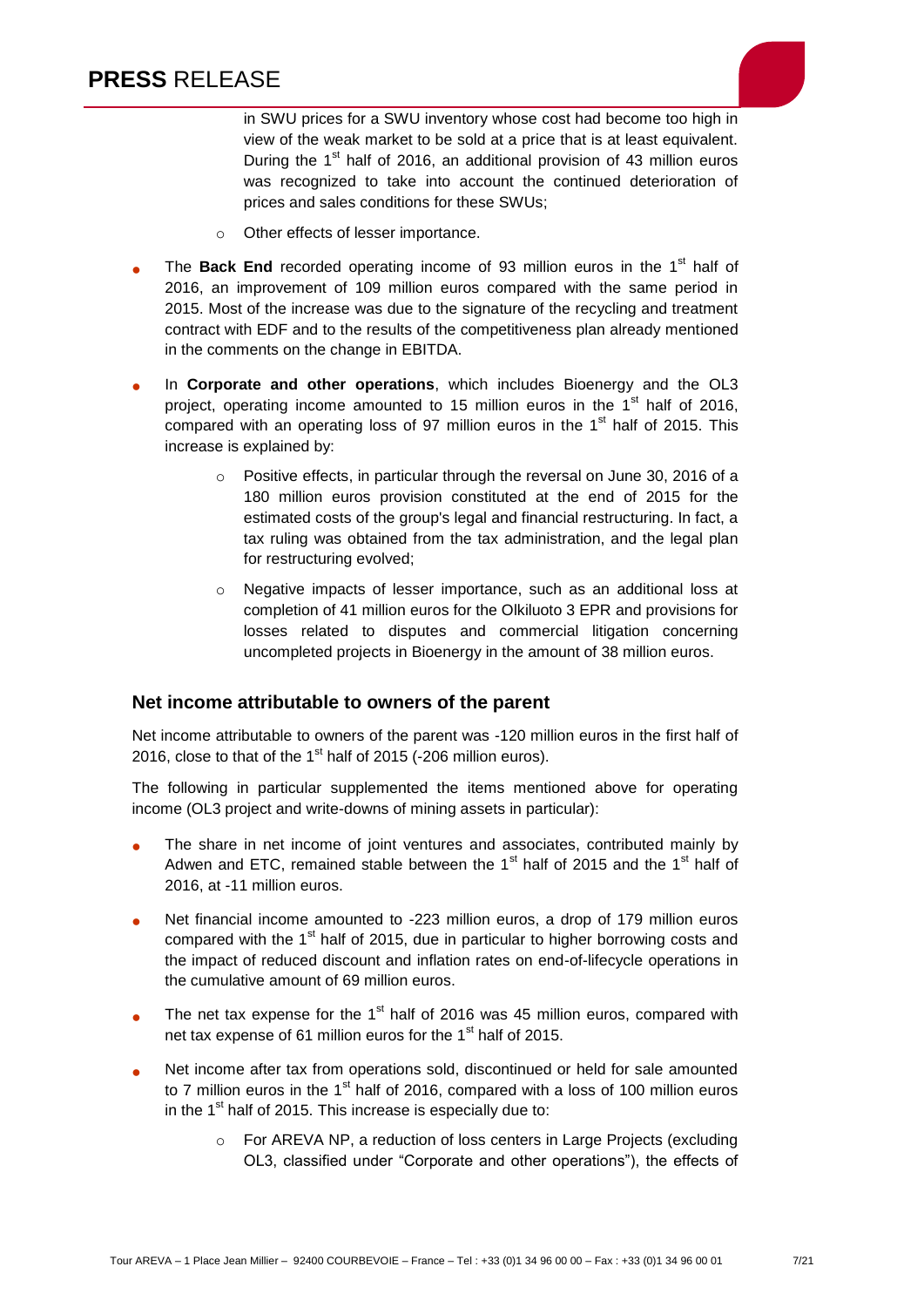

- o Other effects of lesser importance.
- The **Back End** recorded operating income of 93 million euros in the 1<sup>st</sup> half of 2016, an improvement of 109 million euros compared with the same period in 2015. Most of the increase was due to the signature of the recycling and treatment contract with EDF and to the results of the competitiveness plan already mentioned in the comments on the change in EBITDA.
- In **Corporate and other operations**, which includes Bioenergy and the OL3 project, operating income amounted to 15 million euros in the  $1<sup>st</sup>$  half of 2016. compared with an operating loss of 97 million euros in the  $1<sup>st</sup>$  half of 2015. This increase is explained by:
	- o Positive effects, in particular through the reversal on June 30, 2016 of a 180 million euros provision constituted at the end of 2015 for the estimated costs of the group's legal and financial restructuring. In fact, a tax ruling was obtained from the tax administration, and the legal plan for restructuring evolved;
	- o Negative impacts of lesser importance, such as an additional loss at completion of 41 million euros for the Olkiluoto 3 EPR and provisions for losses related to disputes and commercial litigation concerning uncompleted projects in Bioenergy in the amount of 38 million euros.

#### **Net income attributable to owners of the parent**

Net income attributable to owners of the parent was -120 million euros in the first half of 2016, close to that of the  $1<sup>st</sup>$  half of 2015 (-206 million euros).

The following in particular supplemented the items mentioned above for operating income (OL3 project and write-downs of mining assets in particular):

- The share in net income of joint ventures and associates, contributed mainly by Adwen and ETC, remained stable between the  $1<sup>st</sup>$  half of 2015 and the  $1<sup>st</sup>$  half of 2016, at -11 million euros.
- Net financial income amounted to -223 million euros, a drop of 179 million euros compared with the  $1<sup>st</sup>$  half of 2015, due in particular to higher borrowing costs and the impact of reduced discount and inflation rates on end-of-lifecycle operations in the cumulative amount of 69 million euros.
- The net tax expense for the  $1<sup>st</sup>$  half of 2016 was 45 million euros, compared with net tax expense of 61 million euros for the  $1<sup>st</sup>$  half of 2015.
- Net income after tax from operations sold, discontinued or held for sale amounted to 7 million euros in the  $1<sup>st</sup>$  half of 2016, compared with a loss of 100 million euros in the  $1<sup>st</sup>$  half of 2015. This increase is especially due to:
	- o For AREVA NP, a reduction of loss centers in Large Projects (excluding OL3, classified under "Corporate and other operations"), the effects of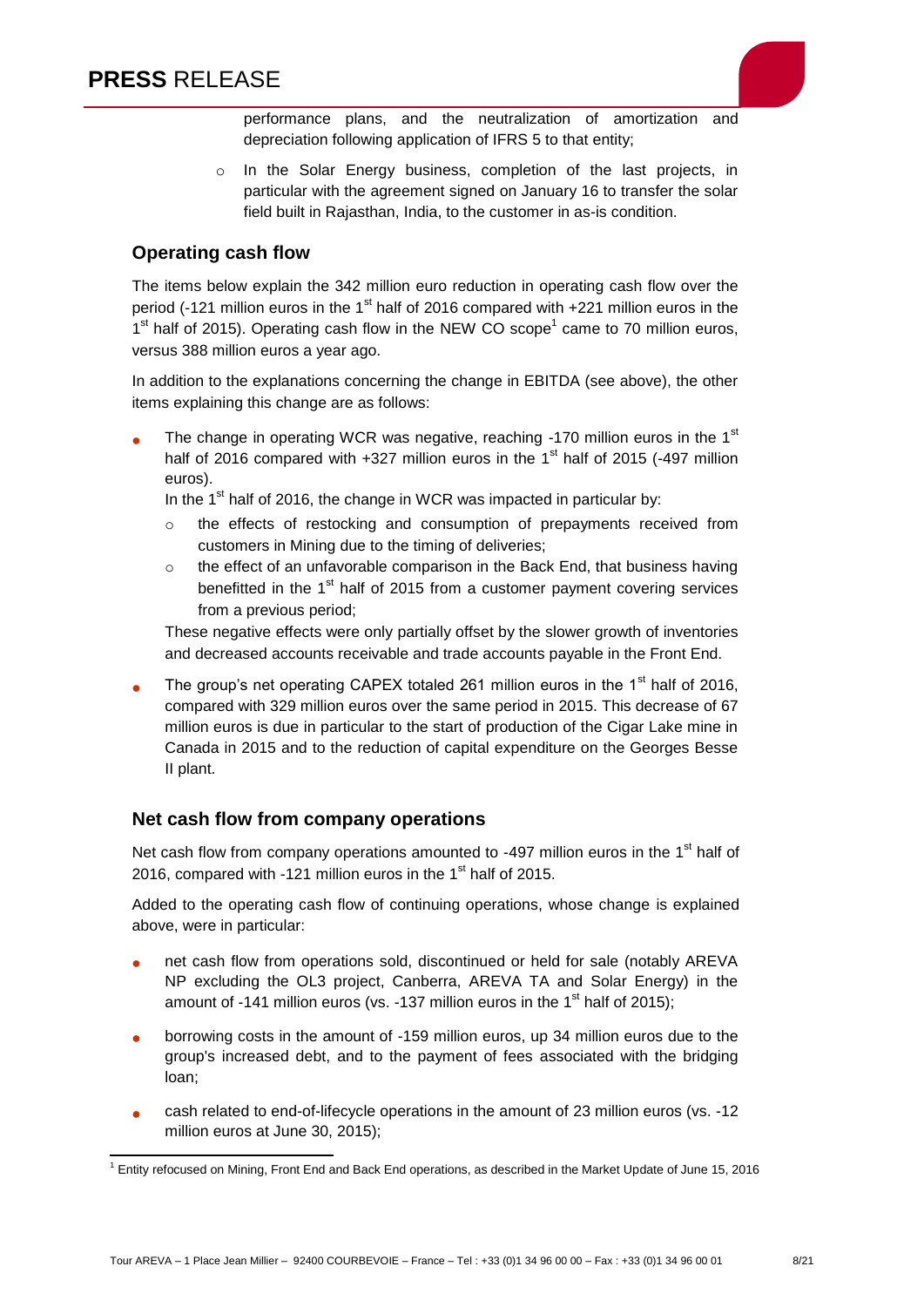

performance plans, and the neutralization of amortization and depreciation following application of IFRS 5 to that entity;

o In the Solar Energy business, completion of the last projects, in particular with the agreement signed on January 16 to transfer the solar field built in Rajasthan, India, to the customer in as-is condition.

## **Operating cash flow**

The items below explain the 342 million euro reduction in operating cash flow over the period (-121 million euros in the  $1<sup>st</sup>$  half of 2016 compared with +221 million euros in the  $1<sup>st</sup>$  half of 2015). Operating cash flow in the NEW CO scope<sup>1</sup> came to 70 million euros, versus 388 million euros a year ago.

In addition to the explanations concerning the change in EBITDA (see above), the other items explaining this change are as follows:

The change in operating WCR was negative, reaching -170 million euros in the  $1<sup>st</sup>$ half of 2016 compared with  $+327$  million euros in the 1<sup>st</sup> half of 2015 (-497 million euros).

In the  $1<sup>st</sup>$  half of 2016, the change in WCR was impacted in particular by:

- o the effects of restocking and consumption of prepayments received from customers in Mining due to the timing of deliveries;
- $\circ$  the effect of an unfavorable comparison in the Back End, that business having benefitted in the  $1<sup>st</sup>$  half of 2015 from a customer payment covering services from a previous period;

These negative effects were only partially offset by the slower growth of inventories and decreased accounts receivable and trade accounts payable in the Front End.

The group's net operating CAPEX totaled 261 million euros in the  $1<sup>st</sup>$  half of 2016, compared with 329 million euros over the same period in 2015. This decrease of 67 million euros is due in particular to the start of production of the Cigar Lake mine in Canada in 2015 and to the reduction of capital expenditure on the Georges Besse II plant.

#### **Net cash flow from company operations**

Net cash flow from company operations amounted to -497 million euros in the 1<sup>st</sup> half of 2016, compared with -121 million euros in the  $1<sup>st</sup>$  half of 2015.

Added to the operating cash flow of continuing operations, whose change is explained above, were in particular:

- net cash flow from operations sold, discontinued or held for sale (notably AREVA NP excluding the OL3 project, Canberra, AREVA TA and Solar Energy) in the amount of -141 million euros (vs. -137 million euros in the 1<sup>st</sup> half of 2015);
- borrowing costs in the amount of -159 million euros, up 34 million euros due to the group's increased debt, and to the payment of fees associated with the bridging loan;
- cash related to end-of-lifecycle operations in the amount of 23 million euros (vs. -12 million euros at June 30, 2015);

<sup>1</sup> Entity refocused on Mining, Front End and Back End operations, as described in the Market Update of June 15, 2016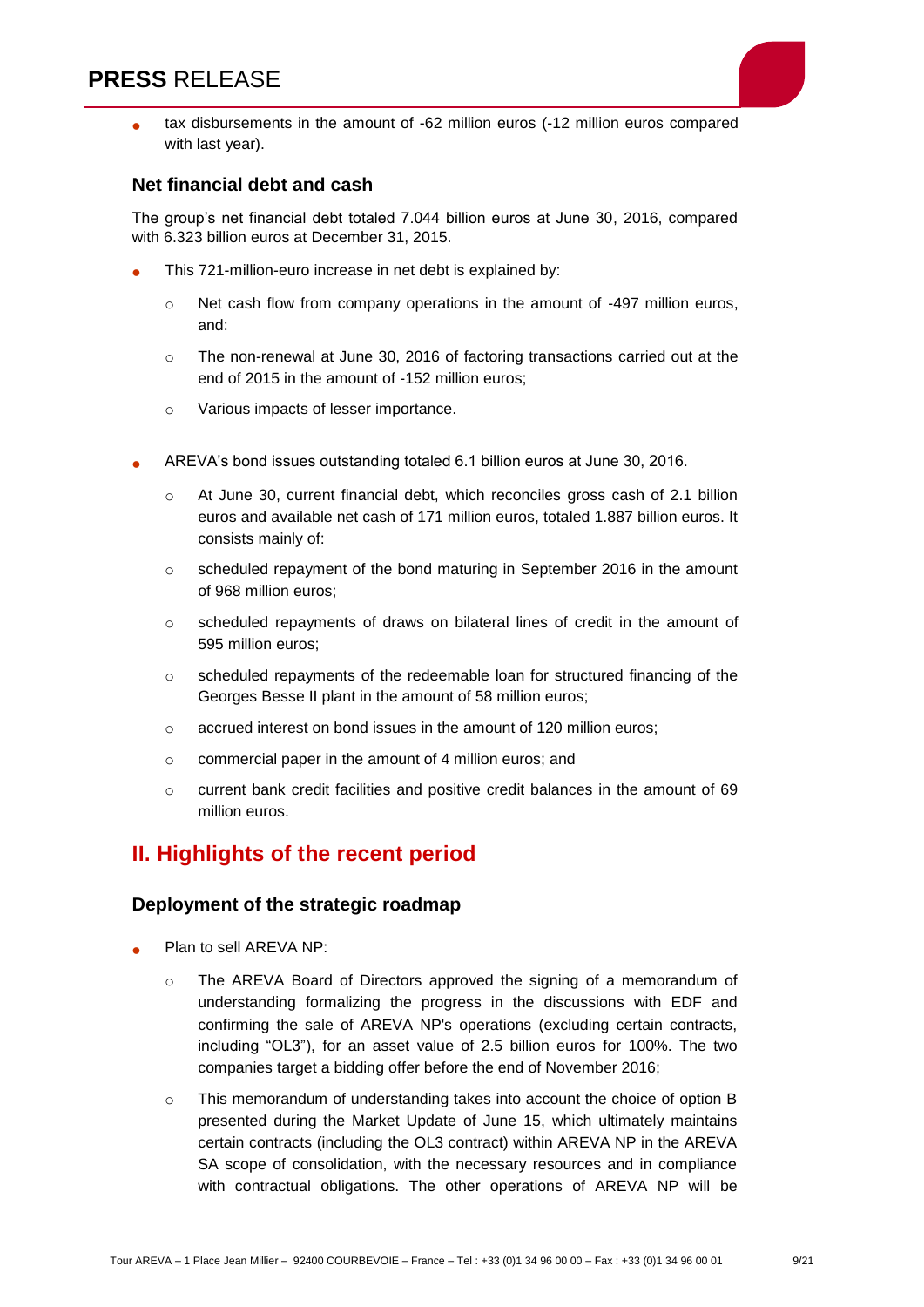

 tax disbursements in the amount of -62 million euros (-12 million euros compared with last year).

#### **Net financial debt and cash**

The group's net financial debt totaled 7.044 billion euros at June 30, 2016, compared with 6.323 billion euros at December 31, 2015.

- This 721-million-euro increase in net debt is explained by:
	- $\circ$  Net cash flow from company operations in the amount of -497 million euros, and:
	- $\circ$  The non-renewal at June 30, 2016 of factoring transactions carried out at the end of 2015 in the amount of -152 million euros;
	- o Various impacts of lesser importance.
- AREVA's bond issues outstanding totaled 6.1 billion euros at June 30, 2016.
	- o At June 30, current financial debt, which reconciles gross cash of 2.1 billion euros and available net cash of 171 million euros, totaled 1.887 billion euros. It consists mainly of:
	- $\circ$  scheduled repayment of the bond maturing in September 2016 in the amount of 968 million euros;
	- o scheduled repayments of draws on bilateral lines of credit in the amount of 595 million euros;
	- o scheduled repayments of the redeemable loan for structured financing of the Georges Besse II plant in the amount of 58 million euros;
	- o accrued interest on bond issues in the amount of 120 million euros;
	- o commercial paper in the amount of 4 million euros; and
	- o current bank credit facilities and positive credit balances in the amount of 69 million euros.

## **II. Highlights of the recent period**

#### **Deployment of the strategic roadmap**

- Plan to sell AREVA NP:
	- o The AREVA Board of Directors approved the signing of a memorandum of understanding formalizing the progress in the discussions with EDF and confirming the sale of AREVA NP's operations (excluding certain contracts, including "OL3"), for an asset value of 2.5 billion euros for 100%. The two companies target a bidding offer before the end of November 2016;
	- $\circ$  This memorandum of understanding takes into account the choice of option B presented during the Market Update of June 15, which ultimately maintains certain contracts (including the OL3 contract) within AREVA NP in the AREVA SA scope of consolidation, with the necessary resources and in compliance with contractual obligations. The other operations of AREVA NP will be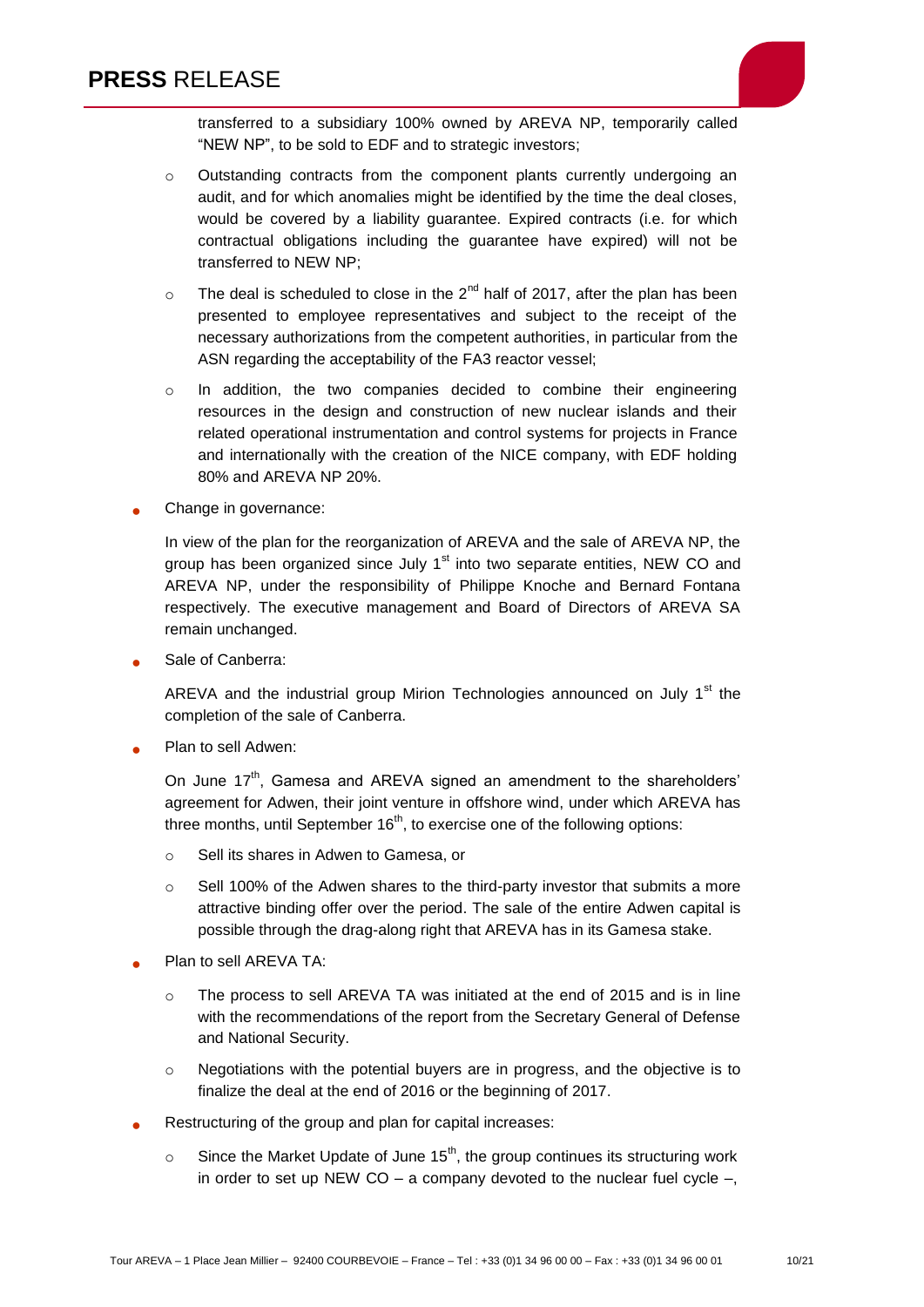

transferred to a subsidiary 100% owned by AREVA NP, temporarily called "NEW NP", to be sold to EDF and to strategic investors;

- o Outstanding contracts from the component plants currently undergoing an audit, and for which anomalies might be identified by the time the deal closes, would be covered by a liability guarantee. Expired contracts (i.e. for which contractual obligations including the guarantee have expired) will not be transferred to NEW NP;
- $\circ$  The deal is scheduled to close in the 2<sup>nd</sup> half of 2017, after the plan has been presented to employee representatives and subject to the receipt of the necessary authorizations from the competent authorities, in particular from the ASN regarding the acceptability of the FA3 reactor vessel;
- $\circ$  In addition, the two companies decided to combine their engineering resources in the design and construction of new nuclear islands and their related operational instrumentation and control systems for projects in France and internationally with the creation of the NICE company, with EDF holding 80% and AREVA NP 20%.
- Change in governance:

In view of the plan for the reorganization of AREVA and the sale of AREVA NP, the group has been organized since July  $1<sup>st</sup>$  into two separate entities, NEW CO and AREVA NP, under the responsibility of Philippe Knoche and Bernard Fontana respectively. The executive management and Board of Directors of AREVA SA remain unchanged.

Sale of Canberra:

AREVA and the industrial group Mirion Technologies announced on July 1<sup>st</sup> the completion of the sale of Canberra.

Plan to sell Adwen:

On June 17<sup>th</sup>, Gamesa and AREVA signed an amendment to the shareholders' agreement for Adwen, their joint venture in offshore wind, under which AREVA has three months, until September  $16<sup>th</sup>$ , to exercise one of the following options:

- o Sell its shares in Adwen to Gamesa, or
- o Sell 100% of the Adwen shares to the third-party investor that submits a more attractive binding offer over the period. The sale of the entire Adwen capital is possible through the drag-along right that AREVA has in its Gamesa stake.
- Plan to sell AREVA TA:
	- o The process to sell AREVA TA was initiated at the end of 2015 and is in line with the recommendations of the report from the Secretary General of Defense and National Security.
	- $\circ$  Negotiations with the potential buyers are in progress, and the objective is to finalize the deal at the end of 2016 or the beginning of 2017.
- Restructuring of the group and plan for capital increases:
	- $\circ$  Since the Market Update of June 15<sup>th</sup>, the group continues its structuring work in order to set up NEW  $CO - a$  company devoted to the nuclear fuel cycle  $-$ ,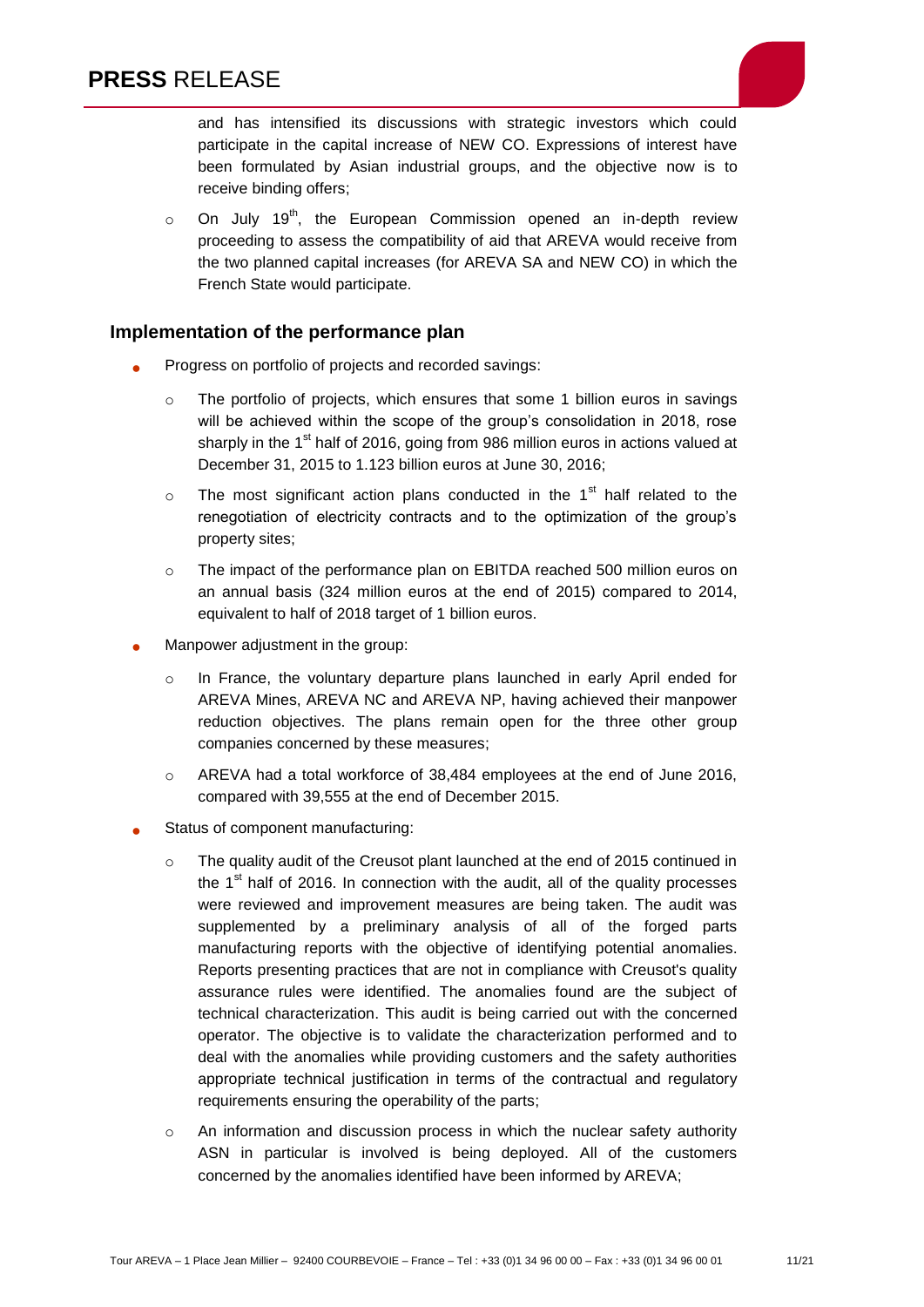

and has intensified its discussions with strategic investors which could participate in the capital increase of NEW CO. Expressions of interest have been formulated by Asian industrial groups, and the objective now is to receive binding offers;

 $\circ$  On July 19<sup>th</sup>, the European Commission opened an in-depth review proceeding to assess the compatibility of aid that AREVA would receive from the two planned capital increases (for AREVA SA and NEW CO) in which the French State would participate.

#### **Implementation of the performance plan**

- Progress on portfolio of projects and recorded savings:
	- o The portfolio of projects, which ensures that some 1 billion euros in savings will be achieved within the scope of the group's consolidation in 2018, rose sharply in the  $1<sup>st</sup>$  half of 2016, going from 986 million euros in actions valued at December 31, 2015 to 1.123 billion euros at June 30, 2016;
	- $\circ$  The most significant action plans conducted in the 1<sup>st</sup> half related to the renegotiation of electricity contracts and to the optimization of the group's property sites;
	- o The impact of the performance plan on EBITDA reached 500 million euros on an annual basis (324 million euros at the end of 2015) compared to 2014, equivalent to half of 2018 target of 1 billion euros.
- Manpower adjustment in the group:
	- $\circ$  In France, the voluntary departure plans launched in early April ended for AREVA Mines, AREVA NC and AREVA NP, having achieved their manpower reduction objectives. The plans remain open for the three other group companies concerned by these measures;
	- $\circ$  AREVA had a total workforce of 38,484 employees at the end of June 2016. compared with 39,555 at the end of December 2015.
- Status of component manufacturing:
	- o The quality audit of the Creusot plant launched at the end of 2015 continued in the  $1<sup>st</sup>$  half of 2016. In connection with the audit, all of the quality processes were reviewed and improvement measures are being taken. The audit was supplemented by a preliminary analysis of all of the forged parts manufacturing reports with the objective of identifying potential anomalies. Reports presenting practices that are not in compliance with Creusot's quality assurance rules were identified. The anomalies found are the subject of technical characterization. This audit is being carried out with the concerned operator. The objective is to validate the characterization performed and to deal with the anomalies while providing customers and the safety authorities appropriate technical justification in terms of the contractual and regulatory requirements ensuring the operability of the parts;
	- $\circ$  An information and discussion process in which the nuclear safety authority ASN in particular is involved is being deployed. All of the customers concerned by the anomalies identified have been informed by AREVA;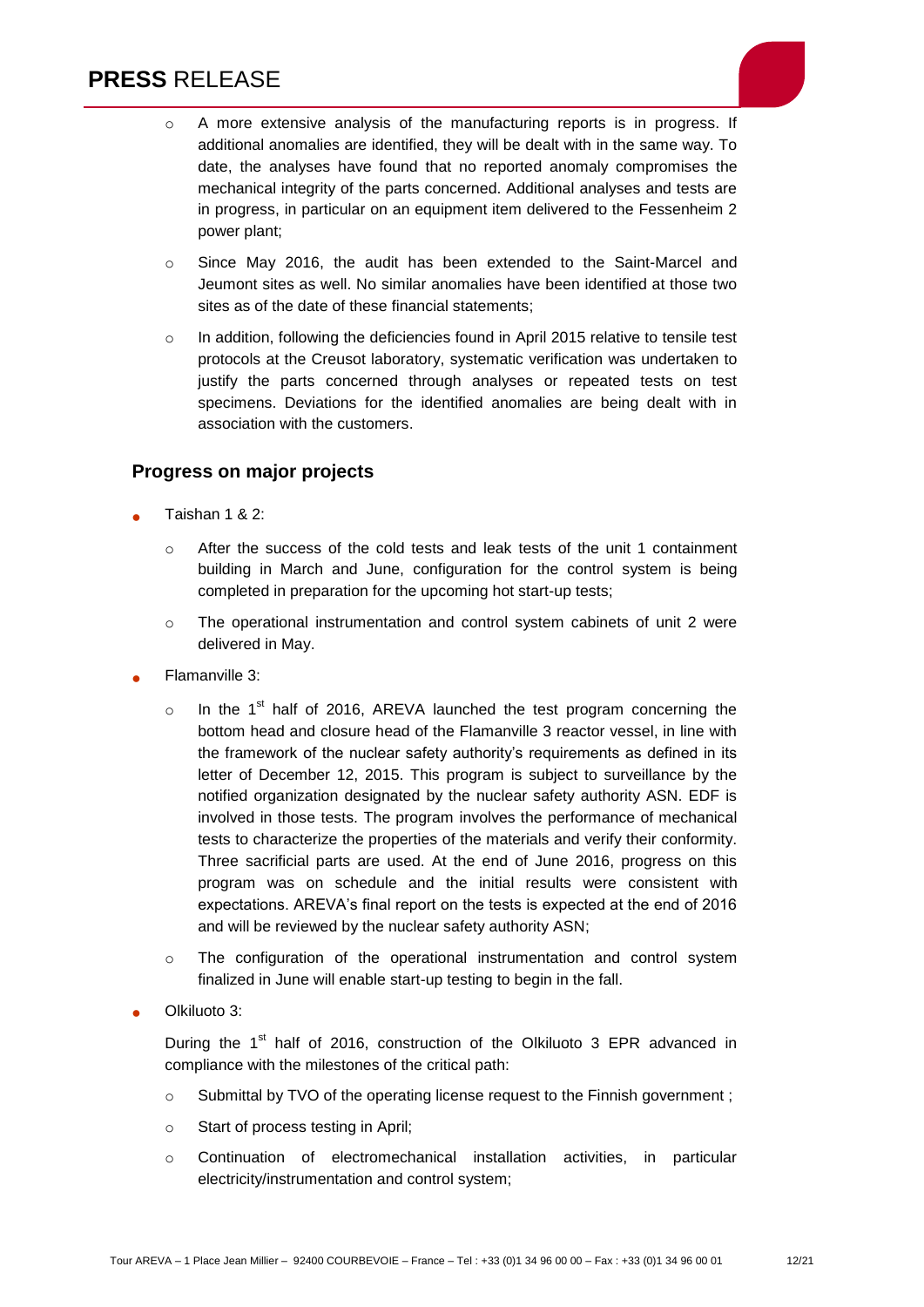

- o Since May 2016, the audit has been extended to the Saint-Marcel and Jeumont sites as well. No similar anomalies have been identified at those two sites as of the date of these financial statements;
- o In addition, following the deficiencies found in April 2015 relative to tensile test protocols at the Creusot laboratory, systematic verification was undertaken to justify the parts concerned through analyses or repeated tests on test specimens. Deviations for the identified anomalies are being dealt with in association with the customers.

#### **Progress on major projects**

- Taishan 1 & 2:
	- $\circ$  After the success of the cold tests and leak tests of the unit 1 containment building in March and June, configuration for the control system is being completed in preparation for the upcoming hot start-up tests;
	- $\circ$  The operational instrumentation and control system cabinets of unit 2 were delivered in May.
- Flamanville 3:
	- $\circ$  In the 1<sup>st</sup> half of 2016, AREVA launched the test program concerning the bottom head and closure head of the Flamanville 3 reactor vessel, in line with the framework of the nuclear safety authority's requirements as defined in its letter of December 12, 2015. This program is subject to surveillance by the notified organization designated by the nuclear safety authority ASN. EDF is involved in those tests. The program involves the performance of mechanical tests to characterize the properties of the materials and verify their conformity. Three sacrificial parts are used. At the end of June 2016, progress on this program was on schedule and the initial results were consistent with expectations. AREVA's final report on the tests is expected at the end of 2016 and will be reviewed by the nuclear safety authority ASN;
	- o The configuration of the operational instrumentation and control system finalized in June will enable start-up testing to begin in the fall.
- Olkiluoto 3:

During the  $1<sup>st</sup>$  half of 2016, construction of the Olkiluoto 3 EPR advanced in compliance with the milestones of the critical path:

- o Submittal by TVO of the operating license request to the Finnish government ;
- o Start of process testing in April;
- o Continuation of electromechanical installation activities, in particular electricity/instrumentation and control system;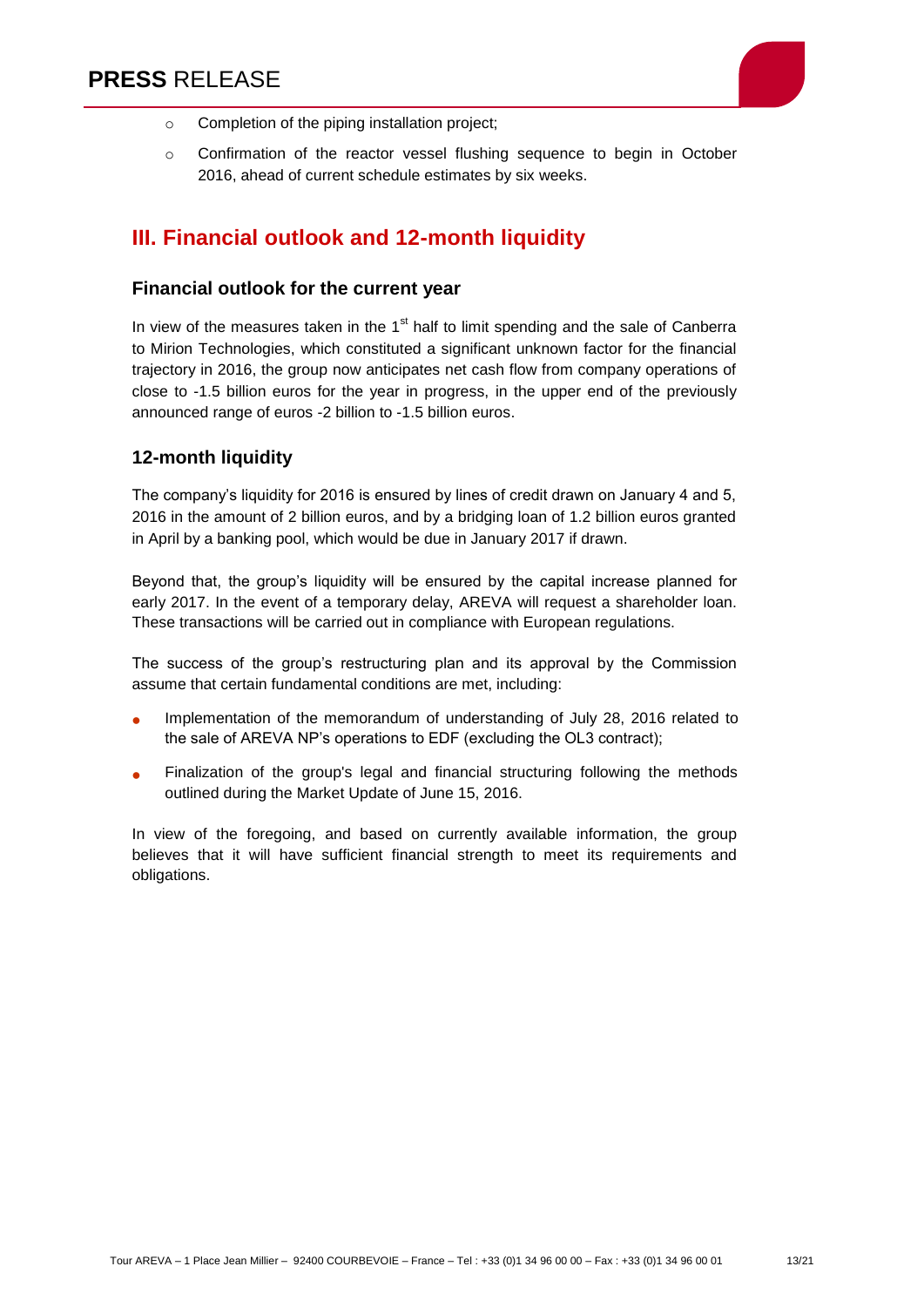

- o Completion of the piping installation project;
- o Confirmation of the reactor vessel flushing sequence to begin in October 2016, ahead of current schedule estimates by six weeks.

# **III. Financial outlook and 12-month liquidity**

#### **Financial outlook for the current year**

In view of the measures taken in the  $1<sup>st</sup>$  half to limit spending and the sale of Canberra to Mirion Technologies, which constituted a significant unknown factor for the financial trajectory in 2016, the group now anticipates net cash flow from company operations of close to -1.5 billion euros for the year in progress, in the upper end of the previously announced range of euros -2 billion to -1.5 billion euros.

#### **12-month liquidity**

The company's liquidity for 2016 is ensured by lines of credit drawn on January 4 and 5, 2016 in the amount of 2 billion euros, and by a bridging loan of 1.2 billion euros granted in April by a banking pool, which would be due in January 2017 if drawn.

Beyond that, the group's liquidity will be ensured by the capital increase planned for early 2017. In the event of a temporary delay, AREVA will request a shareholder loan. These transactions will be carried out in compliance with European regulations.

The success of the group's restructuring plan and its approval by the Commission assume that certain fundamental conditions are met, including:

- Implementation of the memorandum of understanding of July 28, 2016 related to the sale of AREVA NP's operations to EDF (excluding the OL3 contract);
- Finalization of the group's legal and financial structuring following the methods outlined during the Market Update of June 15, 2016.

In view of the foregoing, and based on currently available information, the group believes that it will have sufficient financial strength to meet its requirements and obligations.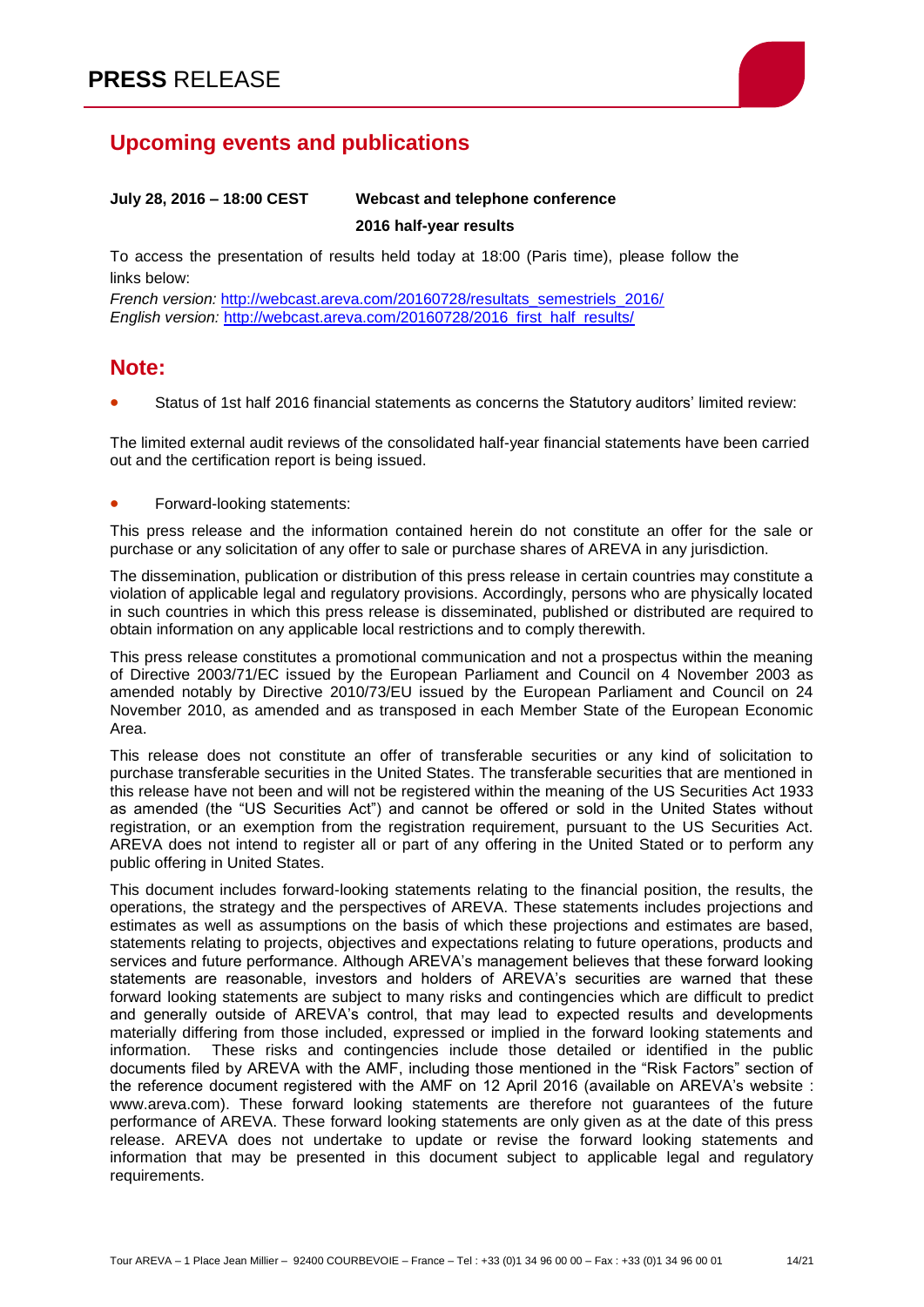# **Upcoming events and publications**

## **July 28, 2016 – 18:00 CEST Webcast and telephone conference 2016 half-year results**

To access the presentation of results held today at 18:00 (Paris time), please follow the links below:

*French version:* [http://webcast.areva.com/20160728/resultats\\_semestriels\\_2016/](http://webcast.areva.com/20160728/resultats_semestriels_2016/) *English version:* [http://webcast.areva.com/20160728/2016\\_first\\_half\\_results/](http://webcast.areva.com/20160728/2016_first_half_results/)

## **Note:**

Status of 1st half 2016 financial statements as concerns the Statutory auditors' limited review:

The limited external audit reviews of the consolidated half-year financial statements have been carried out and the certification report is being issued.

Forward-looking statements:

This press release and the information contained herein do not constitute an offer for the sale or purchase or any solicitation of any offer to sale or purchase shares of AREVA in any jurisdiction.

The dissemination, publication or distribution of this press release in certain countries may constitute a violation of applicable legal and regulatory provisions. Accordingly, persons who are physically located in such countries in which this press release is disseminated, published or distributed are required to obtain information on any applicable local restrictions and to comply therewith.

This press release constitutes a promotional communication and not a prospectus within the meaning of Directive 2003/71/EC issued by the European Parliament and Council on 4 November 2003 as amended notably by Directive 2010/73/EU issued by the European Parliament and Council on 24 November 2010, as amended and as transposed in each Member State of the European Economic Area.

This release does not constitute an offer of transferable securities or any kind of solicitation to purchase transferable securities in the United States. The transferable securities that are mentioned in this release have not been and will not be registered within the meaning of the US Securities Act 1933 as amended (the "US Securities Act") and cannot be offered or sold in the United States without registration, or an exemption from the registration requirement, pursuant to the US Securities Act. AREVA does not intend to register all or part of any offering in the United Stated or to perform any public offering in United States.

This document includes forward-looking statements relating to the financial position, the results, the operations, the strategy and the perspectives of AREVA. These statements includes projections and estimates as well as assumptions on the basis of which these projections and estimates are based, statements relating to projects, objectives and expectations relating to future operations, products and services and future performance. Although AREVA's management believes that these forward looking statements are reasonable, investors and holders of AREVA's securities are warned that these forward looking statements are subject to many risks and contingencies which are difficult to predict and generally outside of AREVA's control, that may lead to expected results and developments materially differing from those included, expressed or implied in the forward looking statements and information. These risks and contingencies include those detailed or identified in the public documents filed by AREVA with the AMF, including those mentioned in the "Risk Factors" section of the reference document registered with the AMF on 12 April 2016 (available on AREVA's website : www.areva.com). These forward looking statements are therefore not guarantees of the future performance of AREVA. These forward looking statements are only given as at the date of this press release. AREVA does not undertake to update or revise the forward looking statements and information that may be presented in this document subject to applicable legal and regulatory requirements.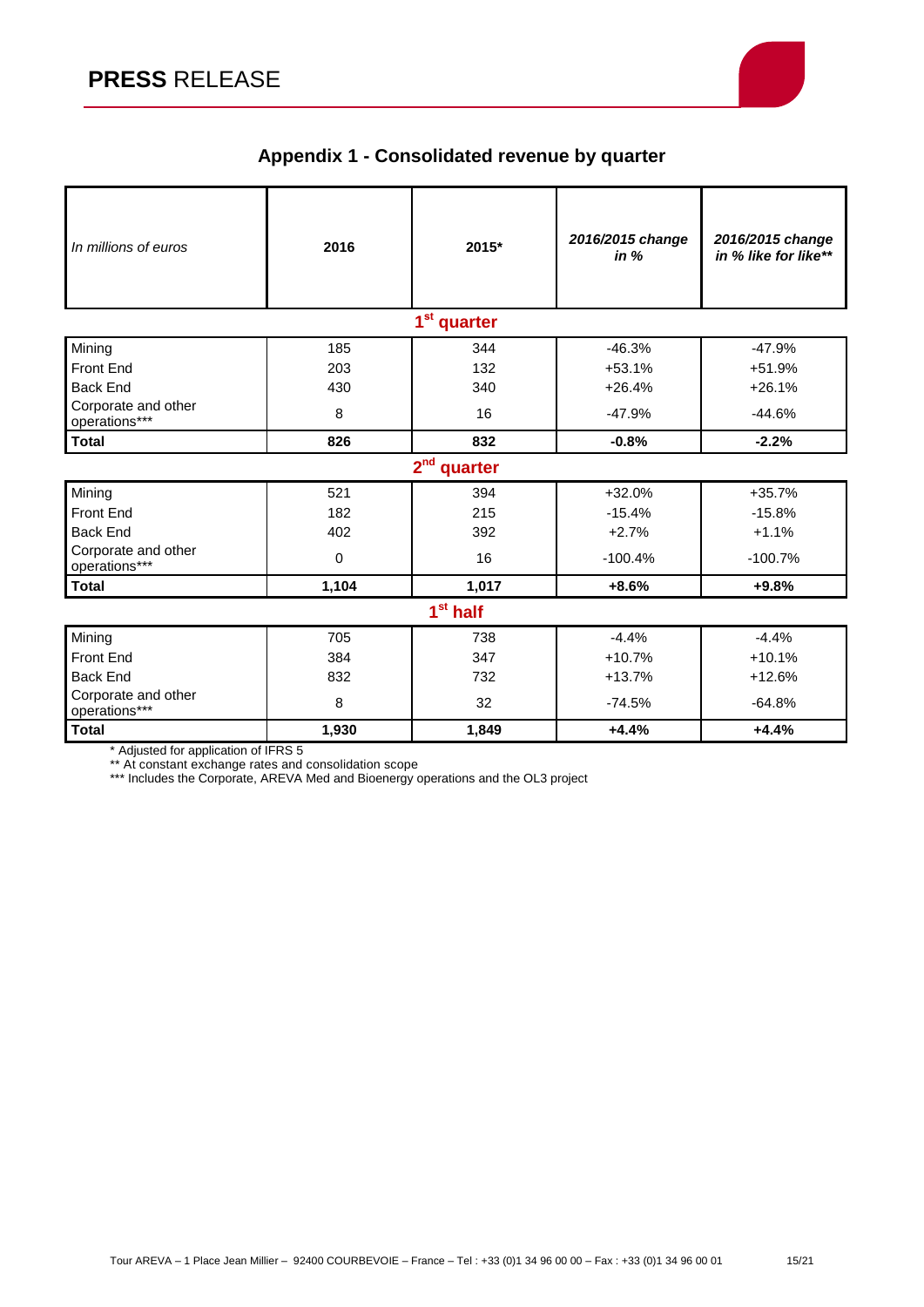

# **Appendix 1 - Consolidated revenue by quarter**

| In millions of euros                 | 2016  | 2015*                   | 2016/2015 change<br>in $%$ | 2016/2015 change<br>in % like for like** |  |
|--------------------------------------|-------|-------------------------|----------------------------|------------------------------------------|--|
|                                      |       | 1 <sup>st</sup> quarter |                            |                                          |  |
| Mining                               | 185   | 344                     | $-46.3%$                   | $-47.9%$                                 |  |
| <b>Front End</b>                     | 203   | 132                     | $+53.1%$                   | $+51.9%$                                 |  |
| <b>Back End</b>                      | 430   | 340                     | $+26.4%$                   | $+26.1%$                                 |  |
| Corporate and other<br>operations*** | 8     | 16                      | $-47.9%$                   | $-44.6%$                                 |  |
| <b>Total</b>                         | 826   | 832                     | $-0.8%$                    | $-2.2%$                                  |  |
| $2nd$ quarter                        |       |                         |                            |                                          |  |
| Mining                               | 521   | 394                     | $+32.0%$                   | $+35.7%$                                 |  |
| Front End                            | 182   | 215                     | $-15.4%$                   | $-15.8%$                                 |  |
| <b>Back End</b>                      | 402   | 392                     | $+2.7%$                    | $+1.1%$                                  |  |
| Corporate and other<br>operations*** | 0     | 16                      | $-100.4%$                  | $-100.7%$                                |  |
| <b>Total</b>                         | 1,104 | 1,017                   | $+8.6%$                    | $+9.8%$                                  |  |
| 1 <sup>st</sup> half                 |       |                         |                            |                                          |  |
| Mining                               | 705   | 738                     | $-4.4%$                    | $-4.4%$                                  |  |
| Front End                            | 384   | 347                     | $+10.7%$                   | $+10.1%$                                 |  |
| <b>Back End</b>                      | 832   | 732                     | $+13.7%$                   | $+12.6%$                                 |  |
| Corporate and other<br>operations*** | 8     | 32                      | $-74.5%$                   | $-64.8%$                                 |  |
| <b>Total</b>                         | 1,930 | 1,849                   | $+4.4%$                    | $+4.4%$                                  |  |

\* Adjusted for application of IFRS 5

\*\* At constant exchange rates and consolidation scope

\*\*\* Includes the Corporate, AREVA Med and Bioenergy operations and the OL3 project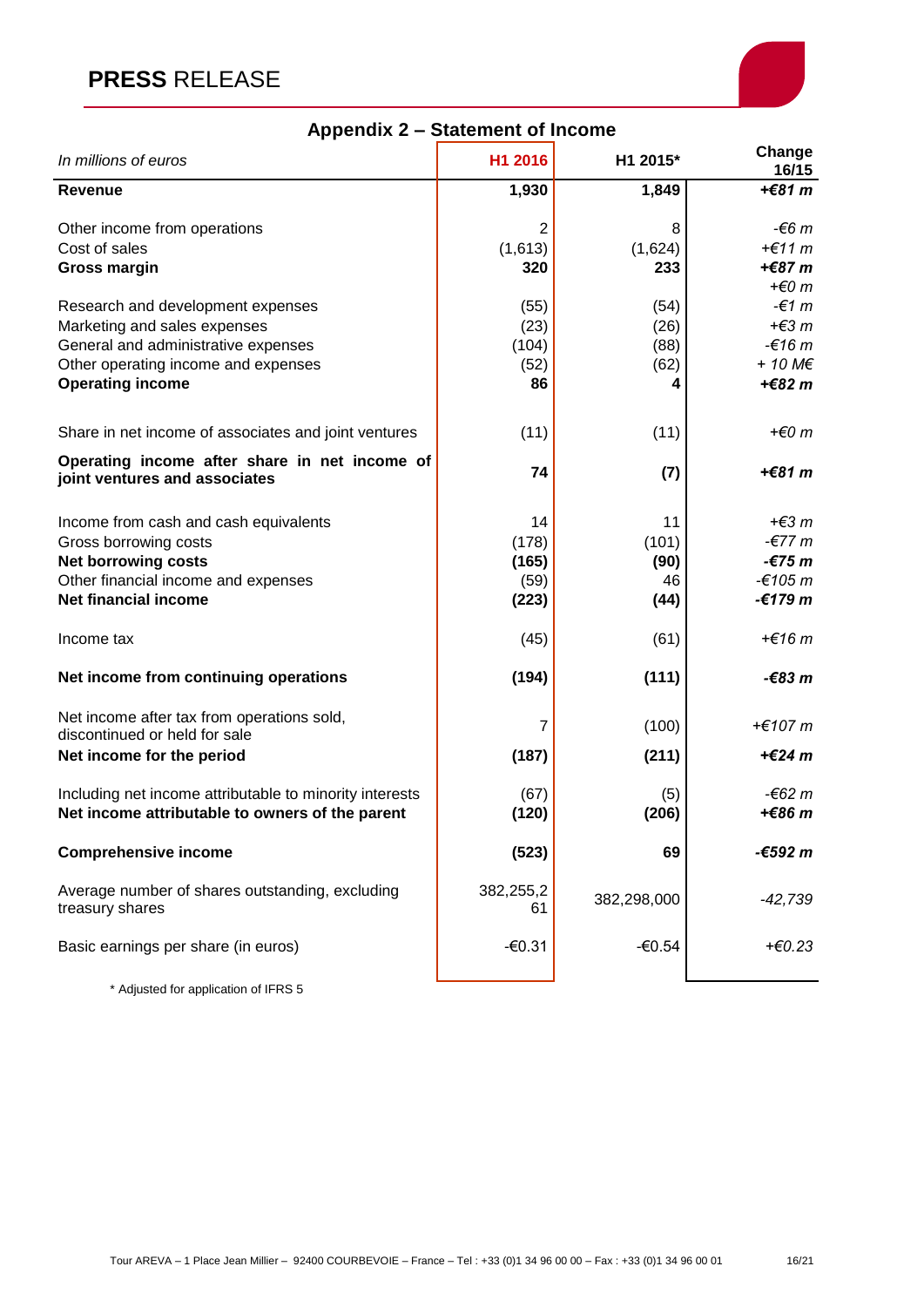# **PRESS** RELEASE



| In millions of euros                                                                                                                                                       | H1 2016                               | H1 2015*                          | Change<br>16/15                                                                          |
|----------------------------------------------------------------------------------------------------------------------------------------------------------------------------|---------------------------------------|-----------------------------------|------------------------------------------------------------------------------------------|
| <b>Revenue</b>                                                                                                                                                             | 1,930                                 | 1,849                             | +€81 $m$                                                                                 |
| Other income from operations<br>Cost of sales<br><b>Gross margin</b>                                                                                                       | 2<br>(1,613)<br>320                   | 8<br>(1,624)<br>233               | $-66m$<br>$+€11 m$<br>+€87 m                                                             |
| Research and development expenses<br>Marketing and sales expenses<br>General and administrative expenses<br>Other operating income and expenses<br><b>Operating income</b> | (55)<br>(23)<br>(104)<br>(52)<br>86   | (54)<br>(26)<br>(88)<br>(62)      | $+ \epsilon$ 0 m<br>$-€1 m$<br>+ $\not\in$ 3 m<br>$-£16m$<br>$+ 10 M \epsilon$<br>+€82 m |
| Share in net income of associates and joint ventures                                                                                                                       | (11)                                  | (11)                              | $+ \epsilon$ 0 m                                                                         |
| Operating income after share in net income of<br>joint ventures and associates                                                                                             | 74                                    | (7)                               | +€81 m                                                                                   |
| Income from cash and cash equivalents<br>Gross borrowing costs<br><b>Net borrowing costs</b><br>Other financial income and expenses<br>Net financial income                | 14<br>(178)<br>(165)<br>(59)<br>(223) | 11<br>(101)<br>(90)<br>46<br>(44) | $+€3 m$<br>$-677m$<br>$-£75m$<br>$-€105 m$<br>$-€179 m$                                  |
| Income tax                                                                                                                                                                 | (45)                                  | (61)                              | $+€16$ m                                                                                 |
| Net income from continuing operations                                                                                                                                      | (194)                                 | (111)                             | $-683m$                                                                                  |
| Net income after tax from operations sold,<br>discontinued or held for sale<br>Net income for the period                                                                   | 7<br>(187)                            | (100)<br>(211)                    | +€107 $m$<br>$+€24 m$                                                                    |
| Including net income attributable to minority interests<br>Net income attributable to owners of the parent                                                                 | (67)<br>(120)                         | (5)<br>(206)                      | -€62 m<br>+€86 m                                                                         |
| <b>Comprehensive income</b>                                                                                                                                                | (523)                                 | 69                                | -€592 m                                                                                  |
| Average number of shares outstanding, excluding<br>treasury shares                                                                                                         | 382,255,2<br>61                       | 382,298,000                       | $-42,739$                                                                                |
| Basic earnings per share (in euros)                                                                                                                                        | $-60.31$                              | $-60.54$                          | +€0.23                                                                                   |
|                                                                                                                                                                            |                                       |                                   |                                                                                          |

## **Appendix 2 – Statement of Income**

\* Adjusted for application of IFRS 5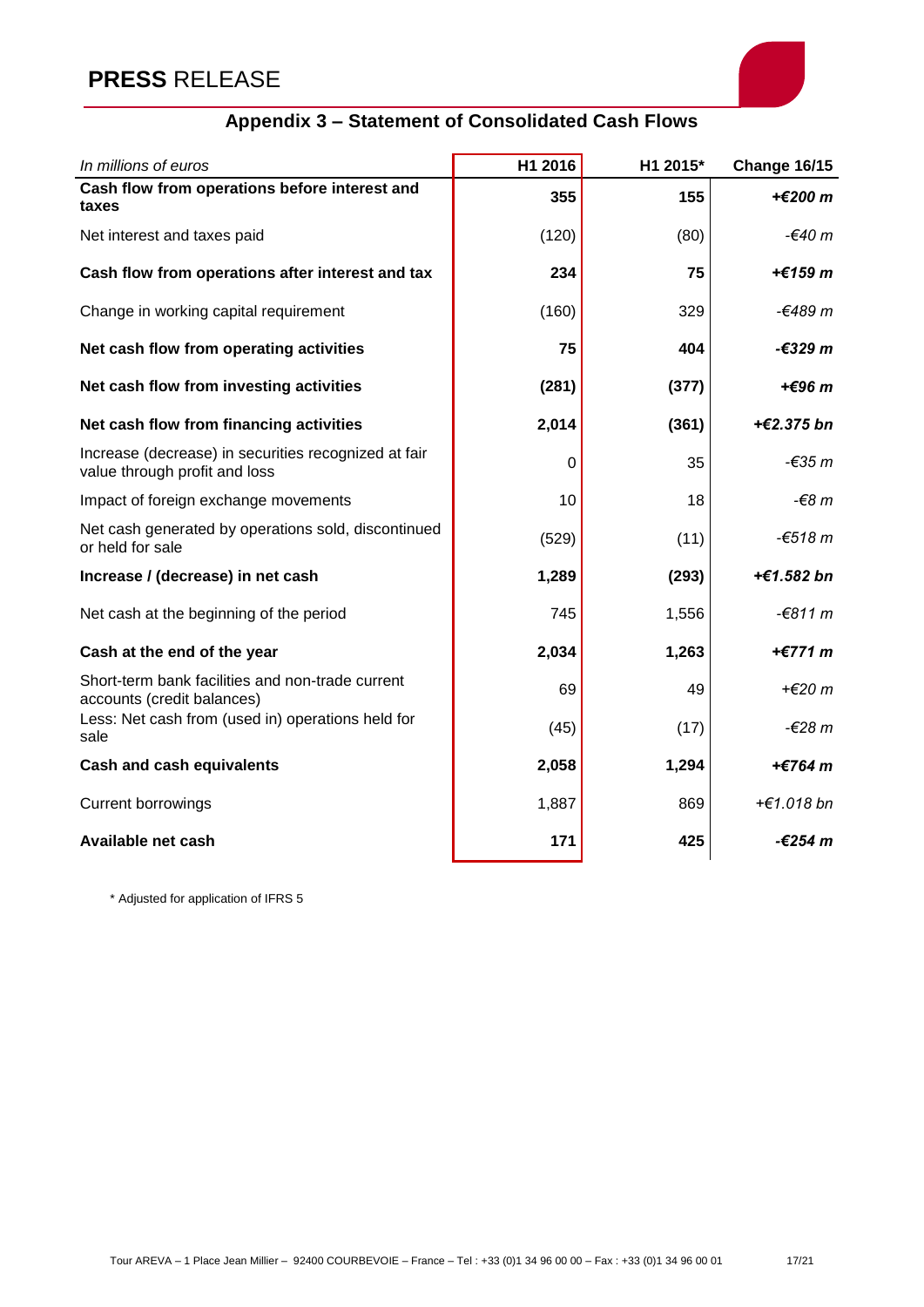# **PRESS** RELEASE



# **Appendix 3 – Statement of Consolidated Cash Flows**

| In millions of euros                                                                  | H1 2016 | H1 2015* | <b>Change 16/15</b> |
|---------------------------------------------------------------------------------------|---------|----------|---------------------|
| Cash flow from operations before interest and<br>taxes                                | 355     | 155      | +€200 m             |
| Net interest and taxes paid                                                           | (120)   | (80)     | -€40 m              |
| Cash flow from operations after interest and tax                                      | 234     | 75       | +€159 m             |
| Change in working capital requirement                                                 | (160)   | 329      | -€489 $m$           |
| Net cash flow from operating activities                                               | 75      | 404      | -€329 m             |
| Net cash flow from investing activities                                               | (281)   | (377)    | + $\epsilon$ 96 m   |
| Net cash flow from financing activities                                               | 2,014   | (361)    | +€2.375 bn          |
| Increase (decrease) in securities recognized at fair<br>value through profit and loss | 0       | 35       | $-635m$             |
| Impact of foreign exchange movements                                                  | 10      | 18       | $-68m$              |
| Net cash generated by operations sold, discontinued<br>or held for sale               | (529)   | (11)     | $-€518 m$           |
| Increase / (decrease) in net cash                                                     | 1,289   | (293)    | +€1.582 bn          |
| Net cash at the beginning of the period                                               | 745     | 1,556    | $-6811 m$           |
| Cash at the end of the year                                                           | 2,034   | 1,263    | +€771 m             |
| Short-term bank facilities and non-trade current<br>accounts (credit balances)        | 69      | 49       | $+€20 m$            |
| Less: Net cash from (used in) operations held for<br>sale                             | (45)    | (17)     | $-628m$             |
| <b>Cash and cash equivalents</b>                                                      | 2,058   | 1,294    | +€764 m             |
| <b>Current borrowings</b>                                                             | 1,887   | 869      | +€1.018 bn          |
| Available net cash                                                                    | 171     | 425      | -€254 m             |

\* Adjusted for application of IFRS 5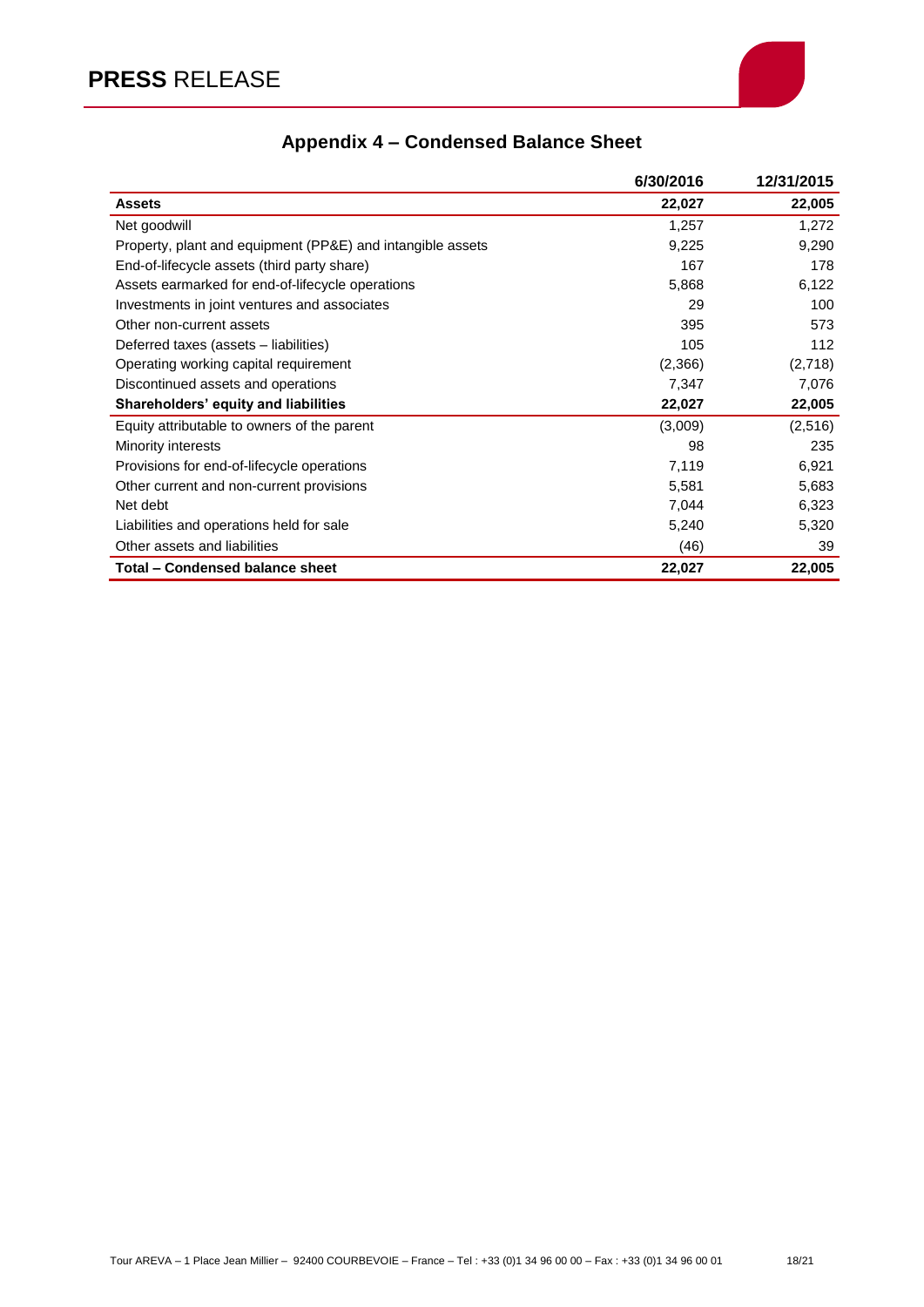

# **Appendix 4 – Condensed Balance Sheet**

|                                                            | 6/30/2016 | 12/31/2015 |
|------------------------------------------------------------|-----------|------------|
| <b>Assets</b>                                              | 22,027    | 22,005     |
| Net goodwill                                               | 1,257     | 1,272      |
| Property, plant and equipment (PP&E) and intangible assets | 9,225     | 9,290      |
| End-of-lifecycle assets (third party share)                | 167       | 178        |
| Assets earmarked for end-of-lifecycle operations           | 5,868     | 6,122      |
| Investments in joint ventures and associates               | 29        | 100        |
| Other non-current assets                                   | 395       | 573        |
| Deferred taxes (assets – liabilities)                      | 105       | 112        |
| Operating working capital requirement                      | (2,366)   | (2,718)    |
| Discontinued assets and operations                         | 7,347     | 7,076      |
| Shareholders' equity and liabilities                       | 22,027    | 22,005     |
| Equity attributable to owners of the parent                | (3,009)   | (2,516)    |
| Minority interests                                         | 98        | 235        |
| Provisions for end-of-lifecycle operations                 | 7,119     | 6,921      |
| Other current and non-current provisions                   | 5,581     | 5,683      |
| Net debt                                                   | 7,044     | 6,323      |
| Liabilities and operations held for sale                   | 5,240     | 5,320      |
| Other assets and liabilities                               | (46)      | 39         |
| Total - Condensed balance sheet                            | 22,027    | 22,005     |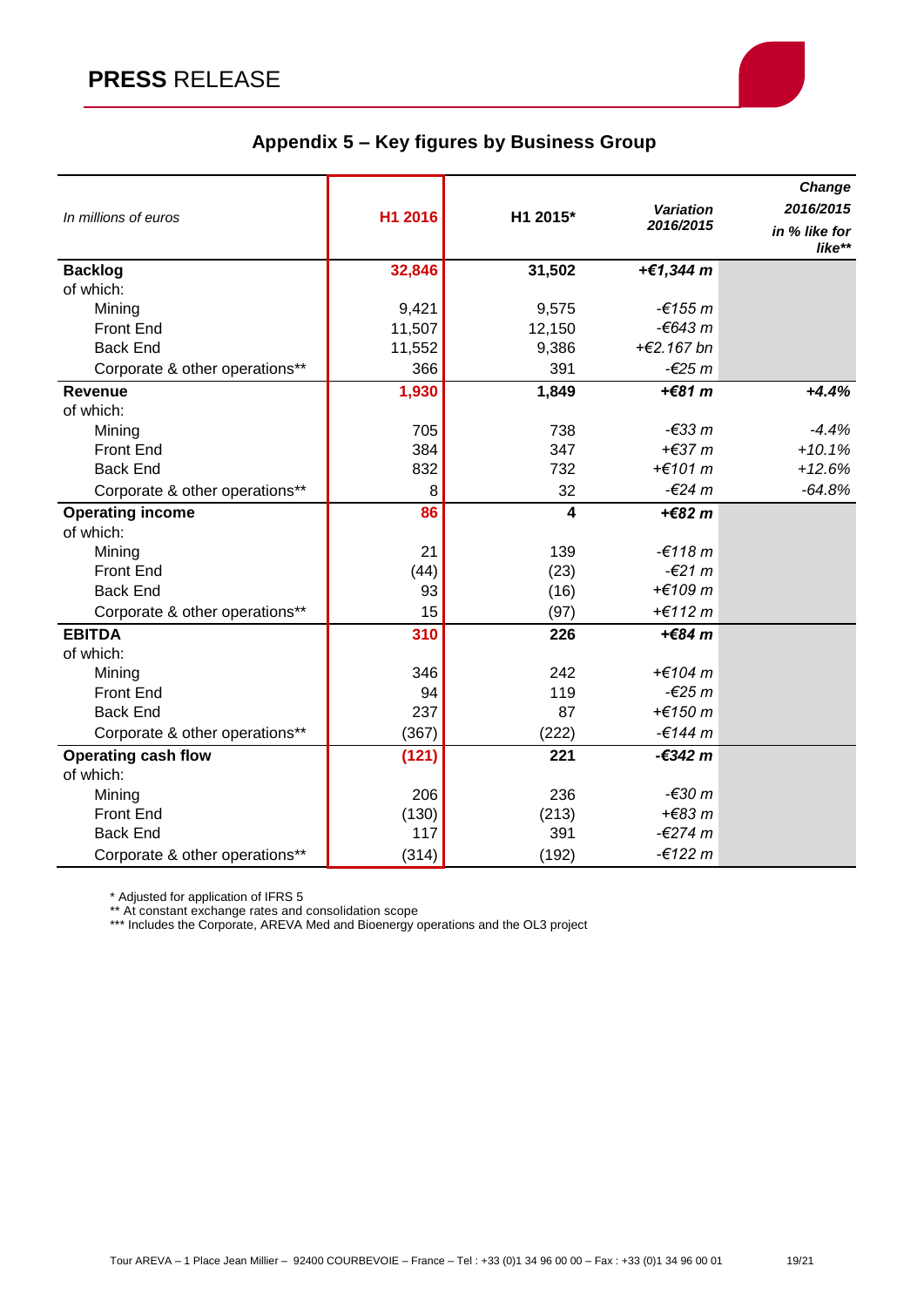

## **Appendix 5 – Key figures by Business Group**

|                                |         |          |                               | Change                     |
|--------------------------------|---------|----------|-------------------------------|----------------------------|
| In millions of euros           | H1 2016 | H1 2015* | <b>Variation</b><br>2016/2015 | 2016/2015<br>in % like for |
|                                |         |          |                               | like**                     |
| <b>Backlog</b>                 | 32,846  | 31,502   | +€1,344 m                     |                            |
| of which:                      |         |          |                               |                            |
| Mining                         | 9,421   | 9,575    | $-6155 m$                     |                            |
| <b>Front End</b>               | 11,507  | 12,150   | $-643 m$                      |                            |
| <b>Back End</b>                | 11,552  | 9,386    | +€2.167 bn                    |                            |
| Corporate & other operations** | 366     | 391      | $-625m$                       |                            |
| <b>Revenue</b>                 | 1,930   | 1,849    | + $€81 m$                     | $+4.4%$                    |
| of which:                      |         |          |                               |                            |
| Mining                         | 705     | 738      | $-633m$                       | $-4.4%$                    |
| <b>Front End</b>               | 384     | 347      | $+€37 m$                      | $+10.1%$                   |
| <b>Back End</b>                | 832     | 732      | +€101 $m$                     | $+12.6%$                   |
| Corporate & other operations** | 8       | 32       | $-624m$                       | $-64.8%$                   |
| <b>Operating income</b>        | 86      | 4        | $+€82 m$                      |                            |
| of which:                      |         |          |                               |                            |
| Mining                         | 21      | 139      | $-£118 m$                     |                            |
| <b>Front End</b>               | (44)    | (23)     | $-621 m$                      |                            |
| <b>Back End</b>                | 93      | (16)     | +€109 m                       |                            |
| Corporate & other operations** | 15      | (97)     | +€112 $m$                     |                            |
| <b>EBITDA</b>                  | 310     | 226      | +€84 $m$                      |                            |
| of which:                      |         |          |                               |                            |
| Mining                         | 346     | 242      | +€104 $m$                     |                            |
| <b>Front End</b>               | 94      | 119      | $-625m$                       |                            |
| <b>Back End</b>                | 237     | 87       | +€150 $m$                     |                            |
| Corporate & other operations** | (367)   | (222)    | $-6144 m$                     |                            |
| <b>Operating cash flow</b>     | (121)   | 221      | -€342 m                       |                            |
| of which:                      |         |          |                               |                            |
| Mining                         | 206     | 236      | -€30 m                        |                            |
| <b>Front End</b>               | (130)   | (213)    | $+€83 m$                      |                            |
| <b>Back End</b>                | 117     | 391      | $-€274 m$                     |                            |
| Corporate & other operations** | (314)   | (192)    | $-€122 m$                     |                            |

\* Adjusted for application of IFRS 5

\*\* At constant exchange rates and consolidation scope

\*\*\* Includes the Corporate, AREVA Med and Bioenergy operations and the OL3 project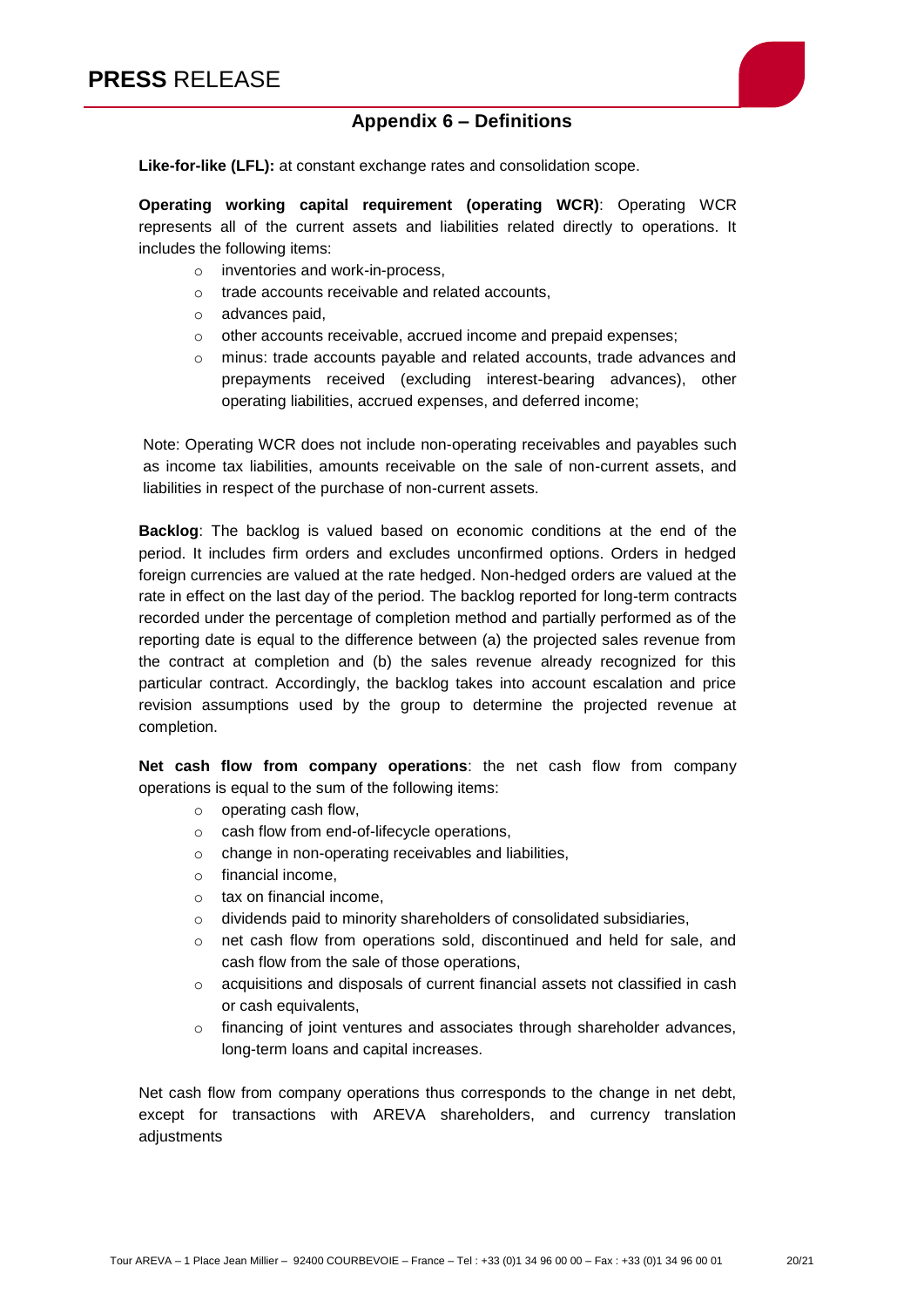

## **Appendix 6 – Definitions**

**Like-for-like (LFL):** at constant exchange rates and consolidation scope.

**Operating working capital requirement (operating WCR)**: Operating WCR represents all of the current assets and liabilities related directly to operations. It includes the following items:

- o inventories and work-in-process,
- o trade accounts receivable and related accounts,
- o advances paid,
- o other accounts receivable, accrued income and prepaid expenses;
- o minus: trade accounts payable and related accounts, trade advances and prepayments received (excluding interest-bearing advances), other operating liabilities, accrued expenses, and deferred income;

Note: Operating WCR does not include non-operating receivables and payables such as income tax liabilities, amounts receivable on the sale of non-current assets, and liabilities in respect of the purchase of non-current assets.

**Backlog**: The backlog is valued based on economic conditions at the end of the period. It includes firm orders and excludes unconfirmed options. Orders in hedged foreign currencies are valued at the rate hedged. Non-hedged orders are valued at the rate in effect on the last day of the period. The backlog reported for long-term contracts recorded under the percentage of completion method and partially performed as of the reporting date is equal to the difference between (a) the projected sales revenue from the contract at completion and (b) the sales revenue already recognized for this particular contract. Accordingly, the backlog takes into account escalation and price revision assumptions used by the group to determine the projected revenue at completion.

**Net cash flow from company operations**: the net cash flow from company operations is equal to the sum of the following items:

- o operating cash flow,
- o cash flow from end-of-lifecycle operations,
- o change in non-operating receivables and liabilities,
- o financial income,
- o tax on financial income,
- o dividends paid to minority shareholders of consolidated subsidiaries,
- $\circ$  net cash flow from operations sold, discontinued and held for sale, and cash flow from the sale of those operations,
- o acquisitions and disposals of current financial assets not classified in cash or cash equivalents,
- $\circ$  financing of joint ventures and associates through shareholder advances, long-term loans and capital increases.

Net cash flow from company operations thus corresponds to the change in net debt, except for transactions with AREVA shareholders, and currency translation adjustments